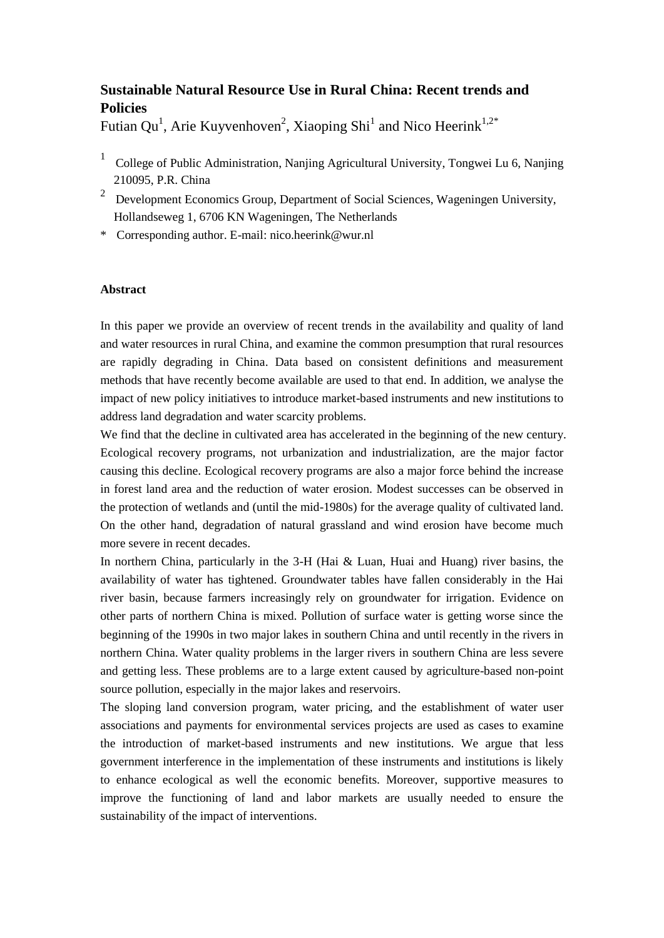## **Sustainable Natural Resource Use in Rural China: Recent trends and Policies**

Futian Qu<sup>1</sup>, Arie Kuyvenhoven<sup>2</sup>, Xiaoping Shi<sup>1</sup> and Nico Heerink<sup>1,2\*</sup>

- <sup>1</sup> College of Public Administration, Nanjing Agricultural University, Tongwei Lu 6, Nanjing 210095, P.R. China
- $2$  Development Economics Group, Department of Social Sciences, Wageningen University, Hollandseweg 1, 6706 KN Wageningen, The Netherlands
- \* Corresponding author. E-mail: nico.heerink@wur.nl

## **Abstract**

In this paper we provide an overview of recent trends in the availability and quality of land and water resources in rural China, and examine the common presumption that rural resources are rapidly degrading in China. Data based on consistent definitions and measurement methods that have recently become available are used to that end. In addition, we analyse the impact of new policy initiatives to introduce market-based instruments and new institutions to address land degradation and water scarcity problems.

We find that the decline in cultivated area has accelerated in the beginning of the new century. Ecological recovery programs, not urbanization and industrialization, are the major factor causing this decline. Ecological recovery programs are also a major force behind the increase in forest land area and the reduction of water erosion. Modest successes can be observed in the protection of wetlands and (until the mid-1980s) for the average quality of cultivated land. On the other hand, degradation of natural grassland and wind erosion have become much more severe in recent decades.

In northern China, particularly in the 3-H (Hai & Luan, Huai and Huang) river basins, the availability of water has tightened. Groundwater tables have fallen considerably in the Hai river basin, because farmers increasingly rely on groundwater for irrigation. Evidence on other parts of northern China is mixed. Pollution of surface water is getting worse since the beginning of the 1990s in two major lakes in southern China and until recently in the rivers in northern China. Water quality problems in the larger rivers in southern China are less severe and getting less. These problems are to a large extent caused by agriculture-based non-point source pollution, especially in the major lakes and reservoirs.

The sloping land conversion program, water pricing, and the establishment of water user associations and payments for environmental services projects are used as cases to examine the introduction of market-based instruments and new institutions. We argue that less government interference in the implementation of these instruments and institutions is likely to enhance ecological as well the economic benefits. Moreover, supportive measures to improve the functioning of land and labor markets are usually needed to ensure the sustainability of the impact of interventions.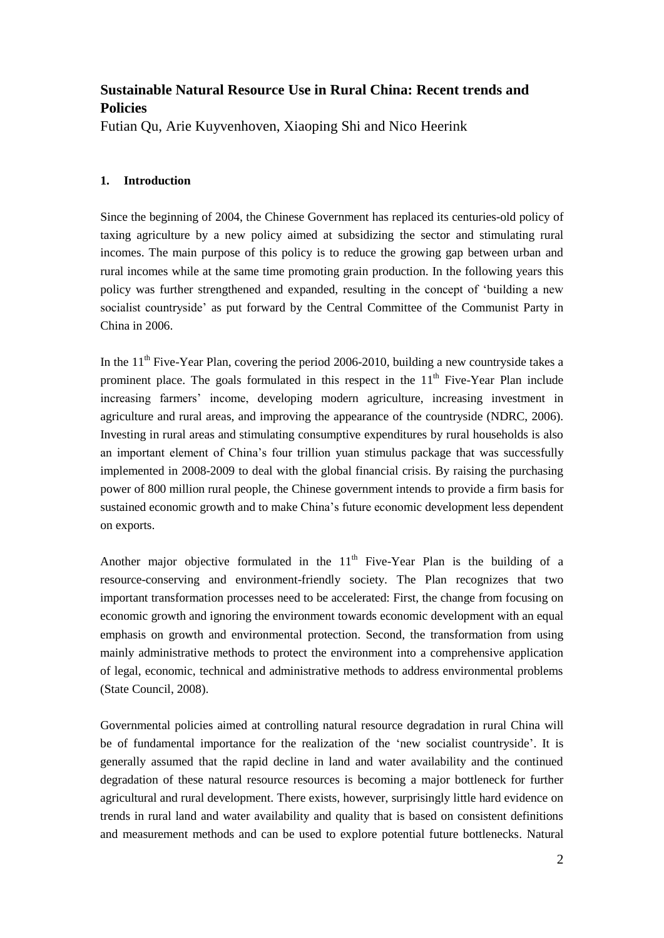# **Sustainable Natural Resource Use in Rural China: Recent trends and Policies**

Futian Qu, Arie Kuyvenhoven, Xiaoping Shi and Nico Heerink

## **1. Introduction**

Since the beginning of 2004, the Chinese Government has replaced its centuries-old policy of taxing agriculture by a new policy aimed at subsidizing the sector and stimulating rural incomes. The main purpose of this policy is to reduce the growing gap between urban and rural incomes while at the same time promoting grain production. In the following years this policy was further strengthened and expanded, resulting in the concept of 'building a new socialist countryside' as put forward by the Central Committee of the Communist Party in China in 2006.

In the  $11<sup>th</sup>$  Five-Year Plan, covering the period 2006-2010, building a new countryside takes a prominent place. The goals formulated in this respect in the  $11<sup>th</sup>$  Five-Year Plan include increasing farmers' income, developing modern agriculture, increasing investment in agriculture and rural areas, and improving the appearance of the countryside (NDRC, 2006). Investing in rural areas and stimulating consumptive expenditures by rural households is also an important element of China's four trillion yuan stimulus package that was successfully implemented in 2008-2009 to deal with the global financial crisis. By raising the purchasing power of 800 million rural people, the Chinese government intends to provide a firm basis for sustained economic growth and to make China's future economic development less dependent on exports.

Another major objective formulated in the  $11<sup>th</sup>$  Five-Year Plan is the building of a resource-conserving and environment-friendly society. The Plan recognizes that two important transformation processes need to be accelerated: First, the change from focusing on economic growth and ignoring the environment towards economic development with an equal emphasis on growth and environmental protection. Second, the transformation from using mainly administrative methods to protect the environment into a comprehensive application of legal, economic, technical and administrative methods to address environmental problems (State Council, 2008).

Governmental policies aimed at controlling natural resource degradation in rural China will be of fundamental importance for the realization of the 'new socialist countryside'. It is generally assumed that the rapid decline in land and water availability and the continued degradation of these natural resource resources is becoming a major bottleneck for further agricultural and rural development. There exists, however, surprisingly little hard evidence on trends in rural land and water availability and quality that is based on consistent definitions and measurement methods and can be used to explore potential future bottlenecks. Natural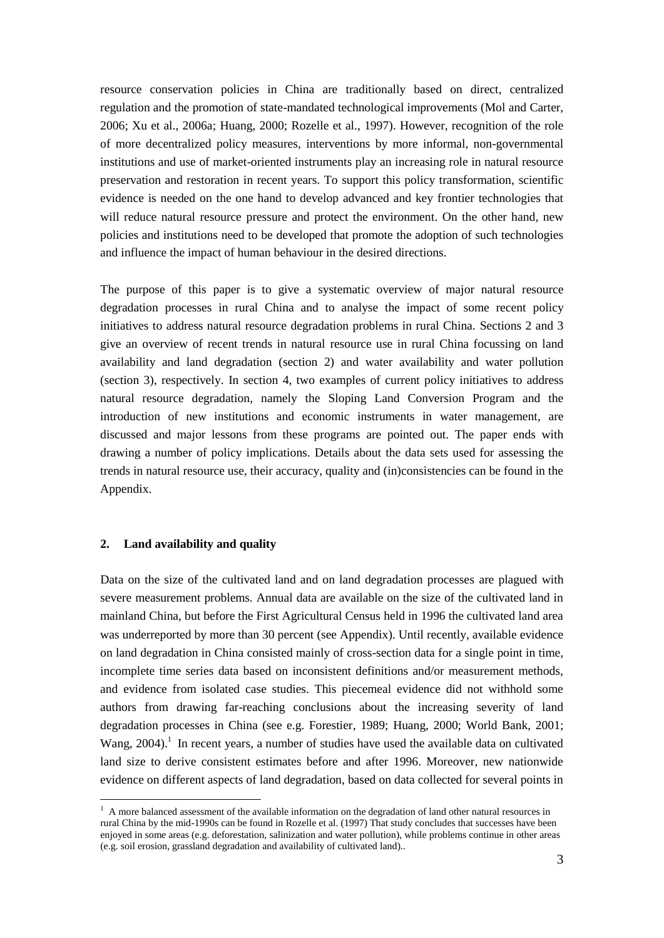resource conservation policies in China are traditionally based on direct, centralized regulation and the promotion of state-mandated technological improvements (Mol and Carter, 2006; Xu et al., 2006a; Huang, 2000; Rozelle et al., 1997). However, recognition of the role of more decentralized policy measures, interventions by more informal, non-governmental institutions and use of market-oriented instruments play an increasing role in natural resource preservation and restoration in recent years. To support this policy transformation, scientific evidence is needed on the one hand to develop advanced and key frontier technologies that will reduce natural resource pressure and protect the environment. On the other hand, new policies and institutions need to be developed that promote the adoption of such technologies and influence the impact of human behaviour in the desired directions.

The purpose of this paper is to give a systematic overview of major natural resource degradation processes in rural China and to analyse the impact of some recent policy initiatives to address natural resource degradation problems in rural China. Sections 2 and 3 give an overview of recent trends in natural resource use in rural China focussing on land availability and land degradation (section 2) and water availability and water pollution (section 3), respectively. In section 4, two examples of current policy initiatives to address natural resource degradation, namely the Sloping Land Conversion Program and the introduction of new institutions and economic instruments in water management, are discussed and major lessons from these programs are pointed out. The paper ends with drawing a number of policy implications. Details about the data sets used for assessing the trends in natural resource use, their accuracy, quality and (in)consistencies can be found in the Appendix.

### **2. Land availability and quality**

<u>.</u>

Data on the size of the cultivated land and on land degradation processes are plagued with severe measurement problems. Annual data are available on the size of the cultivated land in mainland China, but before the First Agricultural Census held in 1996 the cultivated land area was underreported by more than 30 percent (see Appendix). Until recently, available evidence on land degradation in China consisted mainly of cross-section data for a single point in time, incomplete time series data based on inconsistent definitions and/or measurement methods, and evidence from isolated case studies. This piecemeal evidence did not withhold some authors from drawing far-reaching conclusions about the increasing severity of land degradation processes in China (see e.g. Forestier, 1989; Huang, 2000; World Bank, 2001; Wang,  $2004$ ).<sup>1</sup> In recent years, a number of studies have used the available data on cultivated land size to derive consistent estimates before and after 1996. Moreover, new nationwide evidence on different aspects of land degradation, based on data collected for several points in

<sup>&</sup>lt;sup>1</sup> A more balanced assessment of the available information on the degradation of land other natural resources in rural China by the mid-1990s can be found in Rozelle et al. (1997) That study concludes that successes have been enjoyed in some areas (e.g. deforestation, salinization and water pollution), while problems continue in other areas (e.g. soil erosion, grassland degradation and availability of cultivated land)..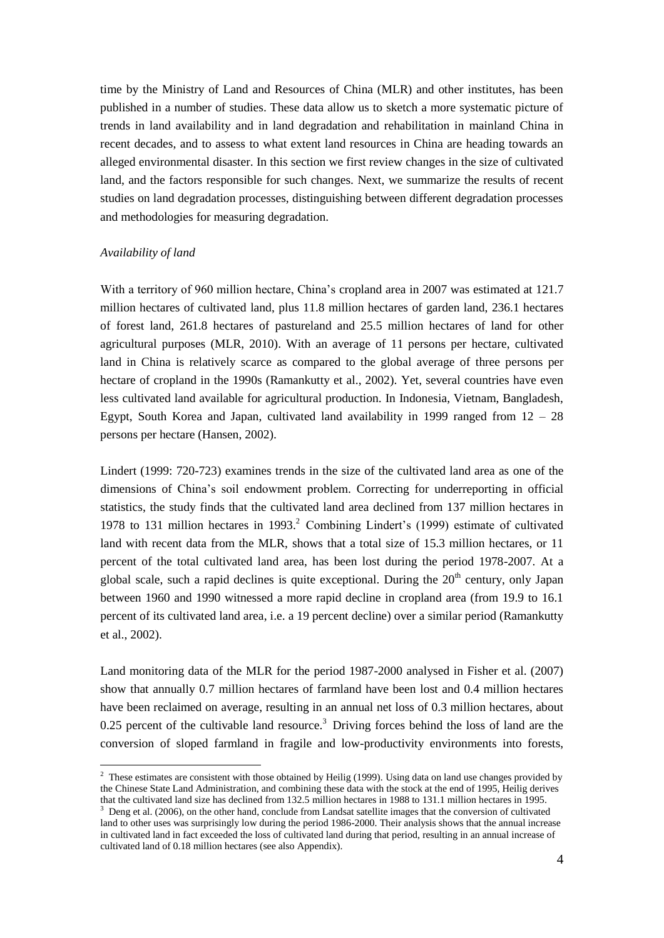time by the Ministry of Land and Resources of China (MLR) and other institutes, has been published in a number of studies. These data allow us to sketch a more systematic picture of trends in land availability and in land degradation and rehabilitation in mainland China in recent decades, and to assess to what extent land resources in China are heading towards an alleged environmental disaster. In this section we first review changes in the size of cultivated land, and the factors responsible for such changes. Next, we summarize the results of recent studies on land degradation processes, distinguishing between different degradation processes and methodologies for measuring degradation.

#### *Availability of land*

1

With a territory of 960 million hectare, China's cropland area in 2007 was estimated at 121.7 million hectares of cultivated land, plus 11.8 million hectares of garden land, 236.1 hectares of forest land, 261.8 hectares of pastureland and 25.5 million hectares of land for other agricultural purposes (MLR, 2010). With an average of 11 persons per hectare, cultivated land in China is relatively scarce as compared to the global average of three persons per hectare of cropland in the 1990s (Ramankutty et al., 2002). Yet, several countries have even less cultivated land available for agricultural production. In Indonesia, Vietnam, Bangladesh, Egypt, South Korea and Japan, cultivated land availability in 1999 ranged from  $12 - 28$ persons per hectare (Hansen, 2002).

Lindert (1999: 720-723) examines trends in the size of the cultivated land area as one of the dimensions of China's soil endowment problem. Correcting for underreporting in official statistics, the study finds that the cultivated land area declined from 137 million hectares in 1978 to 131 million hectares in  $1993<sup>2</sup>$  Combining Lindert's (1999) estimate of cultivated land with recent data from the MLR, shows that a total size of 15.3 million hectares, or 11 percent of the total cultivated land area, has been lost during the period 1978-2007. At a global scale, such a rapid declines is quite exceptional. During the  $20<sup>th</sup>$  century, only Japan between 1960 and 1990 witnessed a more rapid decline in cropland area (from 19.9 to 16.1 percent of its cultivated land area, i.e. a 19 percent decline) over a similar period (Ramankutty et al., 2002).

Land monitoring data of the MLR for the period 1987-2000 analysed in Fisher et al. (2007) show that annually 0.7 million hectares of farmland have been lost and 0.4 million hectares have been reclaimed on average, resulting in an annual net loss of 0.3 million hectares, about 0.25 percent of the cultivable land resource.<sup>3</sup> Driving forces behind the loss of land are the conversion of sloped farmland in fragile and low-productivity environments into forests,

<sup>&</sup>lt;sup>2</sup> These estimates are consistent with those obtained by Heilig (1999). Using data on land use changes provided by the Chinese State Land Administration, and combining these data with the stock at the end of 1995, Heilig derives that the cultivated land size has declined from 132.5 million hectares in 1988 to 131.1 million hectares in 1995.

 $3$  Deng et al. (2006), on the other hand, conclude from Landsat satellite images that the conversion of cultivated land to other uses was surprisingly low during the period 1986-2000. Their analysis shows that the annual increase in cultivated land in fact exceeded the loss of cultivated land during that period, resulting in an annual increase of cultivated land of 0.18 million hectares (see also Appendix).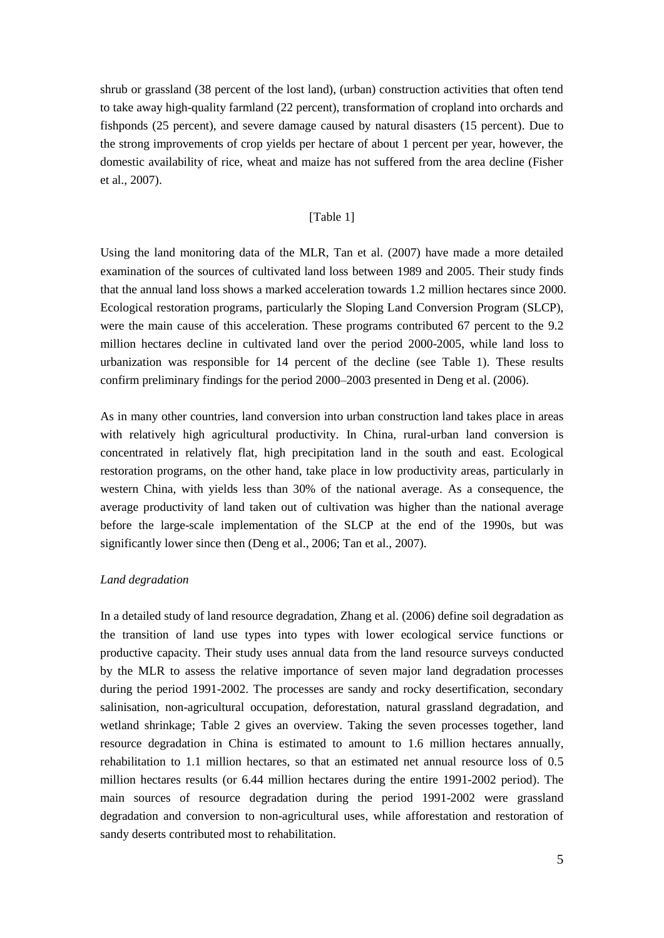shrub or grassland (38 percent of the lost land), (urban) construction activities that often tend to take away high-quality farmland (22 percent), transformation of cropland into orchards and fishponds (25 percent), and severe damage caused by natural disasters (15 percent). Due to the strong improvements of crop yields per hectare of about 1 percent per year, however, the domestic availability of rice, wheat and maize has not suffered from the area decline (Fisher et al., 2007).

## [Table 1]

Using the land monitoring data of the MLR, Tan et al. (2007) have made a more detailed examination of the sources of cultivated land loss between 1989 and 2005. Their study finds that the annual land loss shows a marked acceleration towards 1.2 million hectares since 2000. Ecological restoration programs, particularly the Sloping Land Conversion Program (SLCP), were the main cause of this acceleration. These programs contributed 67 percent to the 9.2 million hectares decline in cultivated land over the period 2000-2005, while land loss to urbanization was responsible for 14 percent of the decline (see Table 1). These results confirm preliminary findings for the period 2000–2003 presented in Deng et al. (2006).

As in many other countries, land conversion into urban construction land takes place in areas with relatively high agricultural productivity. In China, rural-urban land conversion is concentrated in relatively flat, high precipitation land in the south and east. Ecological restoration programs, on the other hand, take place in low productivity areas, particularly in western China, with yields less than 30% of the national average. As a consequence, the average productivity of land taken out of cultivation was higher than the national average before the large-scale implementation of the SLCP at the end of the 1990s, but was significantly lower since then (Deng et al., 2006; Tan et al., 2007).

#### *Land degradation*

In a detailed study of land resource degradation, Zhang et al. (2006) define soil degradation as the transition of land use types into types with lower ecological service functions or productive capacity. Their study uses annual data from the land resource surveys conducted by the MLR to assess the relative importance of seven major land degradation processes during the period 1991-2002. The processes are sandy and rocky desertification, secondary salinisation, non-agricultural occupation, deforestation, natural grassland degradation, and wetland shrinkage; Table 2 gives an overview. Taking the seven processes together, land resource degradation in China is estimated to amount to 1.6 million hectares annually, rehabilitation to 1.1 million hectares, so that an estimated net annual resource loss of 0.5 million hectares results (or 6.44 million hectares during the entire 1991-2002 period). The main sources of resource degradation during the period 1991-2002 were grassland degradation and conversion to non-agricultural uses, while afforestation and restoration of sandy deserts contributed most to rehabilitation.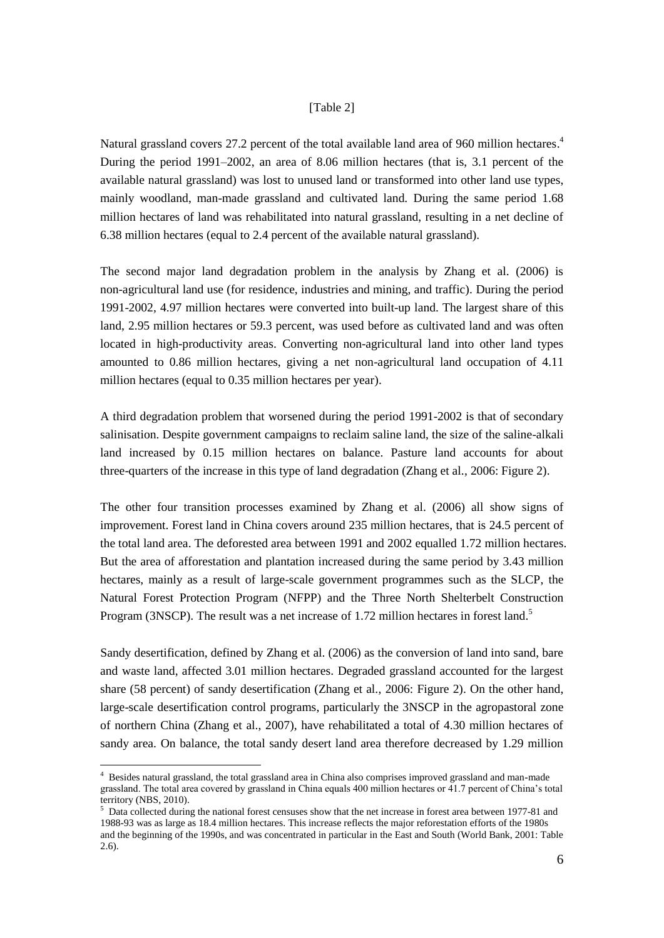#### [Table 2]

Natural grassland covers 27.2 percent of the total available land area of 960 million hectares.<sup>4</sup> During the period 1991–2002, an area of 8.06 million hectares (that is, 3.1 percent of the available natural grassland) was lost to unused land or transformed into other land use types, mainly woodland, man-made grassland and cultivated land. During the same period 1.68 million hectares of land was rehabilitated into natural grassland, resulting in a net decline of 6.38 million hectares (equal to 2.4 percent of the available natural grassland).

The second major land degradation problem in the analysis by Zhang et al. (2006) is non-agricultural land use (for residence, industries and mining, and traffic). During the period 1991-2002, 4.97 million hectares were converted into built-up land. The largest share of this land, 2.95 million hectares or 59.3 percent, was used before as cultivated land and was often located in high-productivity areas. Converting non-agricultural land into other land types amounted to 0.86 million hectares, giving a net non-agricultural land occupation of 4.11 million hectares (equal to 0.35 million hectares per year).

A third degradation problem that worsened during the period 1991-2002 is that of secondary salinisation. Despite government campaigns to reclaim saline land, the size of the saline-alkali land increased by 0.15 million hectares on balance. Pasture land accounts for about three-quarters of the increase in this type of land degradation (Zhang et al., 2006: Figure 2).

The other four transition processes examined by Zhang et al. (2006) all show signs of improvement. Forest land in China covers around 235 million hectares, that is 24.5 percent of the total land area. The deforested area between 1991 and 2002 equalled 1.72 million hectares. But the area of afforestation and plantation increased during the same period by 3.43 million hectares, mainly as a result of large-scale government programmes such as the SLCP, the Natural Forest Protection Program (NFPP) and the Three North Shelterbelt Construction Program (3NSCP). The result was a net increase of 1.72 million hectares in forest land.<sup>5</sup>

Sandy desertification, defined by Zhang et al. (2006) as the conversion of land into sand, bare and waste land, affected 3.01 million hectares. Degraded grassland accounted for the largest share (58 percent) of sandy desertification (Zhang et al., 2006: Figure 2). On the other hand, large-scale desertification control programs, particularly the 3NSCP in the agropastoral zone of northern China (Zhang et al., 2007), have rehabilitated a total of 4.30 million hectares of sandy area. On balance, the total sandy desert land area therefore decreased by 1.29 million

<sup>4</sup> Besides natural grassland, the total grassland area in China also comprises improved grassland and man-made grassland. The total area covered by grassland in China equals 400 million hectares or 41.7 percent of China's total territory (NBS, 2010).

<sup>&</sup>lt;sup>5</sup> Data collected during the national forest censuses show that the net increase in forest area between 1977-81 and 1988-93 was as large as 18.4 million hectares. This increase reflects the major reforestation efforts of the 1980s and the beginning of the 1990s, and was concentrated in particular in the East and South (World Bank, 2001: Table 2.6).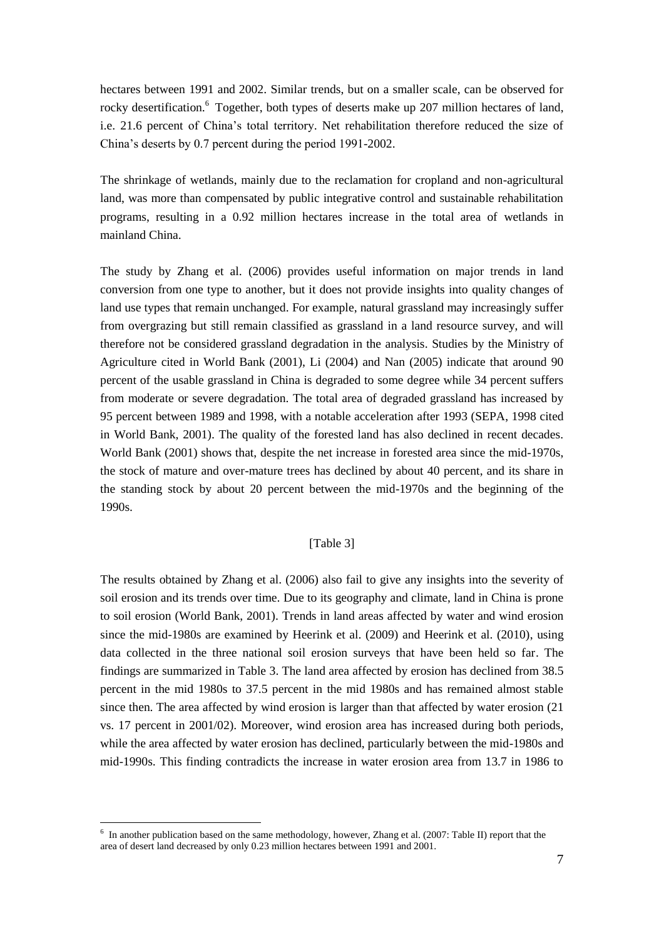hectares between 1991 and 2002. Similar trends, but on a smaller scale, can be observed for rocky desertification.<sup>6</sup> Together, both types of deserts make up 207 million hectares of land, i.e. 21.6 percent of China's total territory. Net rehabilitation therefore reduced the size of China's deserts by 0.7 percent during the period 1991-2002.

The shrinkage of wetlands, mainly due to the reclamation for cropland and non-agricultural land, was more than compensated by public integrative control and sustainable rehabilitation programs, resulting in a 0.92 million hectares increase in the total area of wetlands in mainland China.

The study by Zhang et al. (2006) provides useful information on major trends in land conversion from one type to another, but it does not provide insights into quality changes of land use types that remain unchanged. For example, natural grassland may increasingly suffer from overgrazing but still remain classified as grassland in a land resource survey, and will therefore not be considered grassland degradation in the analysis. Studies by the Ministry of Agriculture cited in World Bank (2001), Li (2004) and Nan (2005) indicate that around 90 percent of the usable grassland in China is degraded to some degree while 34 percent suffers from moderate or severe degradation. The total area of degraded grassland has increased by 95 percent between 1989 and 1998, with a notable acceleration after 1993 (SEPA, 1998 cited in World Bank, 2001). The quality of the forested land has also declined in recent decades. World Bank (2001) shows that, despite the net increase in forested area since the mid-1970s, the stock of mature and over-mature trees has declined by about 40 percent, and its share in the standing stock by about 20 percent between the mid-1970s and the beginning of the 1990s.

#### [Table 3]

The results obtained by Zhang et al. (2006) also fail to give any insights into the severity of soil erosion and its trends over time. Due to its geography and climate, land in China is prone to soil erosion (World Bank, 2001). Trends in land areas affected by water and wind erosion since the mid-1980s are examined by Heerink et al. (2009) and Heerink et al. (2010), using data collected in the three national soil erosion surveys that have been held so far. The findings are summarized in Table 3. The land area affected by erosion has declined from 38.5 percent in the mid 1980s to 37.5 percent in the mid 1980s and has remained almost stable since then. The area affected by wind erosion is larger than that affected by water erosion (21 vs. 17 percent in 2001/02). Moreover, wind erosion area has increased during both periods, while the area affected by water erosion has declined, particularly between the mid-1980s and mid-1990s. This finding contradicts the increase in water erosion area from 13.7 in 1986 to

<sup>&</sup>lt;sup>6</sup> In another publication based on the same methodology, however, Zhang et al. (2007: Table II) report that the area of desert land decreased by only 0.23 million hectares between 1991 and 2001.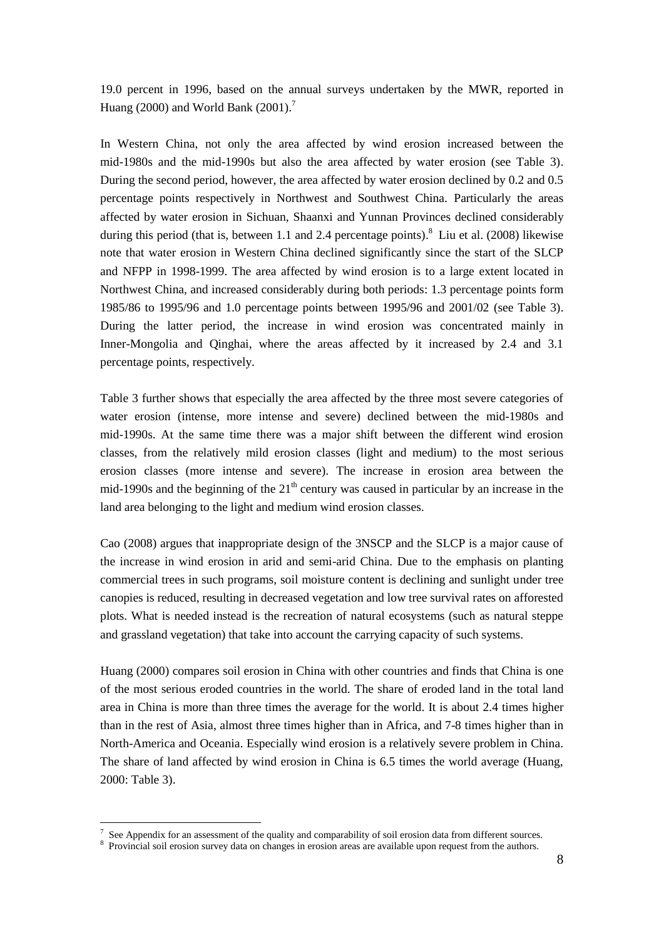19.0 percent in 1996, based on the annual surveys undertaken by the MWR, reported in Huang (2000) and World Bank (2001).<sup>7</sup>

In Western China, not only the area affected by wind erosion increased between the mid-1980s and the mid-1990s but also the area affected by water erosion (see Table 3). During the second period, however, the area affected by water erosion declined by 0.2 and 0.5 percentage points respectively in Northwest and Southwest China. Particularly the areas affected by water erosion in Sichuan, Shaanxi and Yunnan Provinces declined considerably during this period (that is, between 1.1 and 2.4 percentage points).<sup>8</sup> Liu et al. (2008) likewise note that water erosion in Western China declined significantly since the start of the SLCP and NFPP in 1998-1999. The area affected by wind erosion is to a large extent located in Northwest China, and increased considerably during both periods: 1.3 percentage points form 1985/86 to 1995/96 and 1.0 percentage points between 1995/96 and 2001/02 (see Table 3). During the latter period, the increase in wind erosion was concentrated mainly in Inner-Mongolia and Qinghai, where the areas affected by it increased by 2.4 and 3.1 percentage points, respectively.

Table 3 further shows that especially the area affected by the three most severe categories of water erosion (intense, more intense and severe) declined between the mid-1980s and mid-1990s. At the same time there was a major shift between the different wind erosion classes, from the relatively mild erosion classes (light and medium) to the most serious erosion classes (more intense and severe). The increase in erosion area between the mid-1990s and the beginning of the  $21<sup>th</sup>$  century was caused in particular by an increase in the land area belonging to the light and medium wind erosion classes.

Cao (2008) argues that inappropriate design of the 3NSCP and the SLCP is a major cause of the increase in wind erosion in arid and semi-arid China. Due to the emphasis on planting commercial trees in such programs, soil moisture content is declining and sunlight under tree canopies is reduced, resulting in decreased vegetation and low tree survival rates on afforested plots. What is needed instead is the recreation of natural ecosystems (such as natural steppe and grassland vegetation) that take into account the carrying capacity of such systems.

Huang (2000) compares soil erosion in China with other countries and finds that China is one of the most serious eroded countries in the world. The share of eroded land in the total land area in China is more than three times the average for the world. It is about 2.4 times higher than in the rest of Asia, almost three times higher than in Africa, and 7-8 times higher than in North-America and Oceania. Especially wind erosion is a relatively severe problem in China. The share of land affected by wind erosion in China is 6.5 times the world average (Huang, 2000: Table 3).

The Appendix for an assessment of the quality and comparability of soil erosion data from different sources.

<sup>&</sup>lt;sup>8</sup> Provincial soil erosion survey data on changes in erosion areas are available upon request from the authors.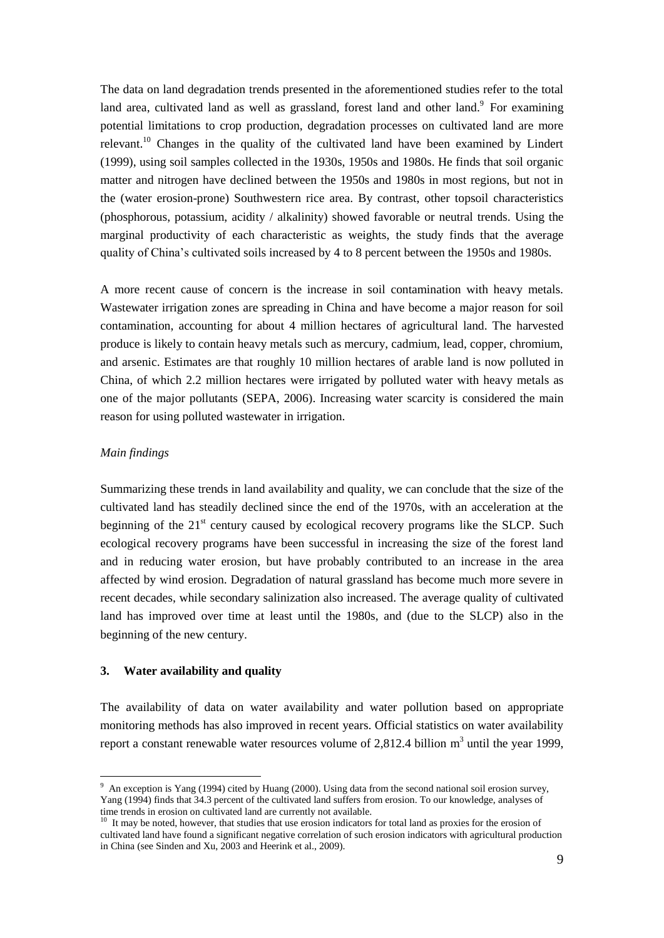The data on land degradation trends presented in the aforementioned studies refer to the total land area, cultivated land as well as grassland, forest land and other land. For examining potential limitations to crop production, degradation processes on cultivated land are more relevant.<sup>10</sup> Changes in the quality of the cultivated land have been examined by Lindert (1999), using soil samples collected in the 1930s, 1950s and 1980s. He finds that soil organic matter and nitrogen have declined between the 1950s and 1980s in most regions, but not in the (water erosion-prone) Southwestern rice area. By contrast, other topsoil characteristics (phosphorous, potassium, acidity / alkalinity) showed favorable or neutral trends. Using the marginal productivity of each characteristic as weights, the study finds that the average quality of China's cultivated soils increased by 4 to 8 percent between the 1950s and 1980s.

A more recent cause of concern is the increase in soil contamination with heavy metals. Wastewater irrigation zones are spreading in China and have become a major reason for soil contamination, accounting for about 4 million hectares of agricultural land. The harvested produce is likely to contain heavy metals such as mercury, cadmium, lead, copper, chromium, and arsenic. Estimates are that roughly 10 million hectares of arable land is now polluted in China, of which 2.2 million hectares were irrigated by polluted water with heavy metals as one of the major pollutants (SEPA, 2006). Increasing water scarcity is considered the main reason for using polluted wastewater in irrigation.

#### *Main findings*

1

Summarizing these trends in land availability and quality, we can conclude that the size of the cultivated land has steadily declined since the end of the 1970s, with an acceleration at the beginning of the  $21<sup>st</sup>$  century caused by ecological recovery programs like the SLCP. Such ecological recovery programs have been successful in increasing the size of the forest land and in reducing water erosion, but have probably contributed to an increase in the area affected by wind erosion. Degradation of natural grassland has become much more severe in recent decades, while secondary salinization also increased. The average quality of cultivated land has improved over time at least until the 1980s, and (due to the SLCP) also in the beginning of the new century.

#### **3. Water availability and quality**

The availability of data on water availability and water pollution based on appropriate monitoring methods has also improved in recent years. Official statistics on water availability report a constant renewable water resources volume of 2,812.4 billion  $m<sup>3</sup>$  until the year 1999,

<sup>9</sup> An exception is Yang (1994) cited by Huang (2000). Using data from the second national soil erosion survey, Yang (1994) finds that 34.3 percent of the cultivated land suffers from erosion. To our knowledge, analyses of time trends in erosion on cultivated land are currently not available.

<sup>&</sup>lt;sup>10</sup> It may be noted, however, that studies that use erosion indicators for total land as proxies for the erosion of cultivated land have found a significant negative correlation of such erosion indicators with agricultural production in China (see Sinden and Xu, 2003 and Heerink et al., 2009).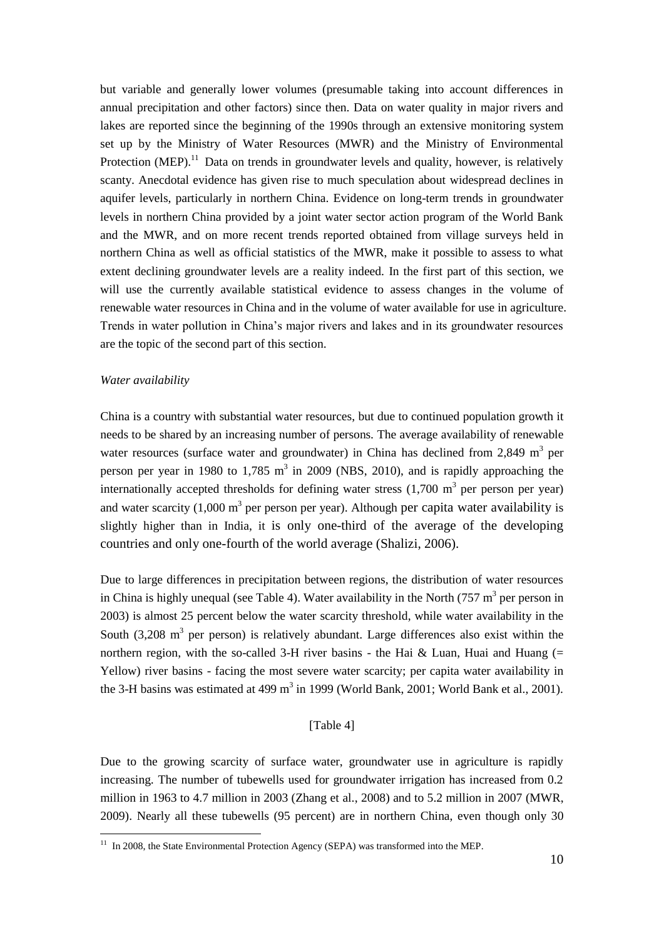but variable and generally lower volumes (presumable taking into account differences in annual precipitation and other factors) since then. Data on water quality in major rivers and lakes are reported since the beginning of the 1990s through an extensive monitoring system set up by the Ministry of Water Resources (MWR) and the Ministry of Environmental Protection (MEP).<sup>11</sup> Data on trends in groundwater levels and quality, however, is relatively scanty. Anecdotal evidence has given rise to much speculation about widespread declines in aquifer levels, particularly in northern China. Evidence on long-term trends in groundwater levels in northern China provided by a joint water sector action program of the World Bank and the MWR, and on more recent trends reported obtained from village surveys held in northern China as well as official statistics of the MWR, make it possible to assess to what extent declining groundwater levels are a reality indeed. In the first part of this section, we will use the currently available statistical evidence to assess changes in the volume of renewable water resources in China and in the volume of water available for use in agriculture. Trends in water pollution in China's major rivers and lakes and in its groundwater resources are the topic of the second part of this section.

#### *Water availability*

1

China is a country with substantial water resources, but due to continued population growth it needs to be shared by an increasing number of persons. The average availability of renewable water resources (surface water and groundwater) in China has declined from 2,849  $m<sup>3</sup>$  per person per year in 1980 to 1,785  $m<sup>3</sup>$  in 2009 (NBS, 2010), and is rapidly approaching the internationally accepted thresholds for defining water stress  $(1,700 \text{ m}^3 \text{ per person per year})$ and water scarcity  $(1,000 \text{ m}^3 \text{ per person per year})$ . Although per capita water availability is slightly higher than in India, it is only one-third of the average of the developing countries and only one-fourth of the world average (Shalizi, 2006).

Due to large differences in precipitation between regions, the distribution of water resources in China is highly unequal (see Table 4). Water availability in the North (757 m<sup>3</sup> per person in 2003) is almost 25 percent below the water scarcity threshold, while water availability in the South  $(3,208 \text{ m}^3)$  per person) is relatively abundant. Large differences also exist within the northern region, with the so-called 3-H river basins - the Hai & Luan, Huai and Huang ( $=$ Yellow) river basins - facing the most severe water scarcity; per capita water availability in the 3-H basins was estimated at 499  $m<sup>3</sup>$  in 1999 (World Bank, 2001; World Bank et al., 2001).

#### [Table 4]

Due to the growing scarcity of surface water, groundwater use in agriculture is rapidly increasing. The number of tubewells used for groundwater irrigation has increased from 0.2 million in 1963 to 4.7 million in 2003 (Zhang et al., 2008) and to 5.2 million in 2007 (MWR, 2009). Nearly all these tubewells (95 percent) are in northern China, even though only 30

<sup>&</sup>lt;sup>11</sup> In 2008, the State Environmental Protection Agency (SEPA) was transformed into the MEP.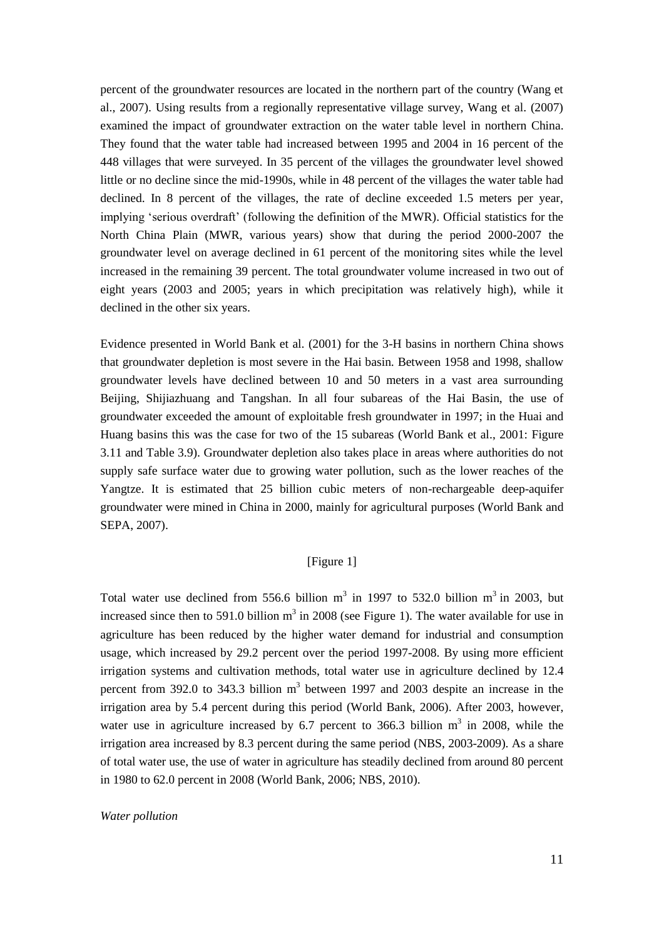percent of the groundwater resources are located in the northern part of the country (Wang et al., 2007). Using results from a regionally representative village survey, Wang et al. (2007) examined the impact of groundwater extraction on the water table level in northern China. They found that the water table had increased between 1995 and 2004 in 16 percent of the 448 villages that were surveyed. In 35 percent of the villages the groundwater level showed little or no decline since the mid-1990s, while in 48 percent of the villages the water table had declined. In 8 percent of the villages, the rate of decline exceeded 1.5 meters per year, implying 'serious overdraft' (following the definition of the MWR). Official statistics for the North China Plain (MWR, various years) show that during the period 2000-2007 the groundwater level on average declined in 61 percent of the monitoring sites while the level increased in the remaining 39 percent. The total groundwater volume increased in two out of eight years (2003 and 2005; years in which precipitation was relatively high), while it declined in the other six years.

Evidence presented in World Bank et al. (2001) for the 3-H basins in northern China shows that groundwater depletion is most severe in the Hai basin. Between 1958 and 1998, shallow groundwater levels have declined between 10 and 50 meters in a vast area surrounding Beijing, Shijiazhuang and Tangshan. In all four subareas of the Hai Basin, the use of groundwater exceeded the amount of exploitable fresh groundwater in 1997; in the Huai and Huang basins this was the case for two of the 15 subareas (World Bank et al., 2001: Figure 3.11 and Table 3.9). Groundwater depletion also takes place in areas where authorities do not supply safe surface water due to growing water pollution, such as the lower reaches of the Yangtze. It is estimated that 25 billion cubic meters of non-rechargeable deep-aquifer groundwater were mined in China in 2000, mainly for agricultural purposes (World Bank and SEPA, 2007).

## [Figure 1]

Total water use declined from 556.6 billion  $m^3$  in 1997 to 532.0 billion  $m^3$  in 2003, but increased since then to 591.0 billion  $m^3$  in 2008 (see Figure 1). The water available for use in agriculture has been reduced by the higher water demand for industrial and consumption usage, which increased by 29.2 percent over the period 1997-2008. By using more efficient irrigation systems and cultivation methods, total water use in agriculture declined by 12.4 percent from 392.0 to 343.3 billion  $m<sup>3</sup>$  between 1997 and 2003 despite an increase in the irrigation area by 5.4 percent during this period (World Bank, 2006). After 2003, however, water use in agriculture increased by  $6.7$  percent to 366.3 billion  $m<sup>3</sup>$  in 2008, while the irrigation area increased by 8.3 percent during the same period (NBS, 2003-2009). As a share of total water use, the use of water in agriculture has steadily declined from around 80 percent in 1980 to 62.0 percent in 2008 (World Bank, 2006; NBS, 2010).

#### *Water pollution*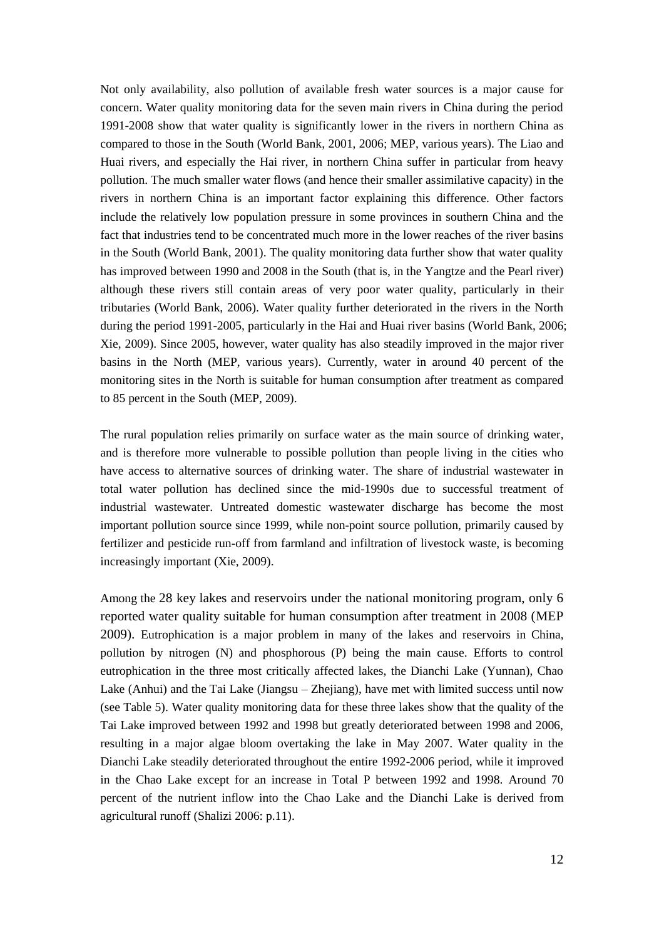Not only availability, also pollution of available fresh water sources is a major cause for concern. Water quality monitoring data for the seven main rivers in China during the period 1991-2008 show that water quality is significantly lower in the rivers in northern China as compared to those in the South (World Bank, 2001, 2006; MEP, various years). The Liao and Huai rivers, and especially the Hai river, in northern China suffer in particular from heavy pollution. The much smaller water flows (and hence their smaller assimilative capacity) in the rivers in northern China is an important factor explaining this difference. Other factors include the relatively low population pressure in some provinces in southern China and the fact that industries tend to be concentrated much more in the lower reaches of the river basins in the South (World Bank, 2001). The quality monitoring data further show that water quality has improved between 1990 and 2008 in the South (that is, in the Yangtze and the Pearl river) although these rivers still contain areas of very poor water quality, particularly in their tributaries (World Bank, 2006). Water quality further deteriorated in the rivers in the North during the period 1991-2005, particularly in the Hai and Huai river basins (World Bank, 2006; Xie, 2009). Since 2005, however, water quality has also steadily improved in the major river basins in the North (MEP, various years). Currently, water in around 40 percent of the monitoring sites in the North is suitable for human consumption after treatment as compared to 85 percent in the South (MEP, 2009).

The rural population relies primarily on surface water as the main source of drinking water, and is therefore more vulnerable to possible pollution than people living in the cities who have access to alternative sources of drinking water. The share of industrial wastewater in total water pollution has declined since the mid-1990s due to successful treatment of industrial wastewater. Untreated domestic wastewater discharge has become the most important pollution source since 1999, while non-point source pollution, primarily caused by fertilizer and pesticide run-off from farmland and infiltration of livestock waste, is becoming increasingly important (Xie, 2009).

Among the 28 key lakes and reservoirs under the national monitoring program, only 6 reported water quality suitable for human consumption after treatment in 2008 (MEP 2009). Eutrophication is a major problem in many of the lakes and reservoirs in China, pollution by nitrogen (N) and phosphorous (P) being the main cause. Efforts to control eutrophication in the three most critically affected lakes, the Dianchi Lake (Yunnan), Chao Lake (Anhui) and the Tai Lake (Jiangsu – Zhejiang), have met with limited success until now (see Table 5). Water quality monitoring data for these three lakes show that the quality of the Tai Lake improved between 1992 and 1998 but greatly deteriorated between 1998 and 2006, resulting in a major algae bloom overtaking the lake in May 2007. Water quality in the Dianchi Lake steadily deteriorated throughout the entire 1992-2006 period, while it improved in the Chao Lake except for an increase in Total P between 1992 and 1998. Around 70 percent of the nutrient inflow into the Chao Lake and the Dianchi Lake is derived from agricultural runoff (Shalizi 2006: p.11).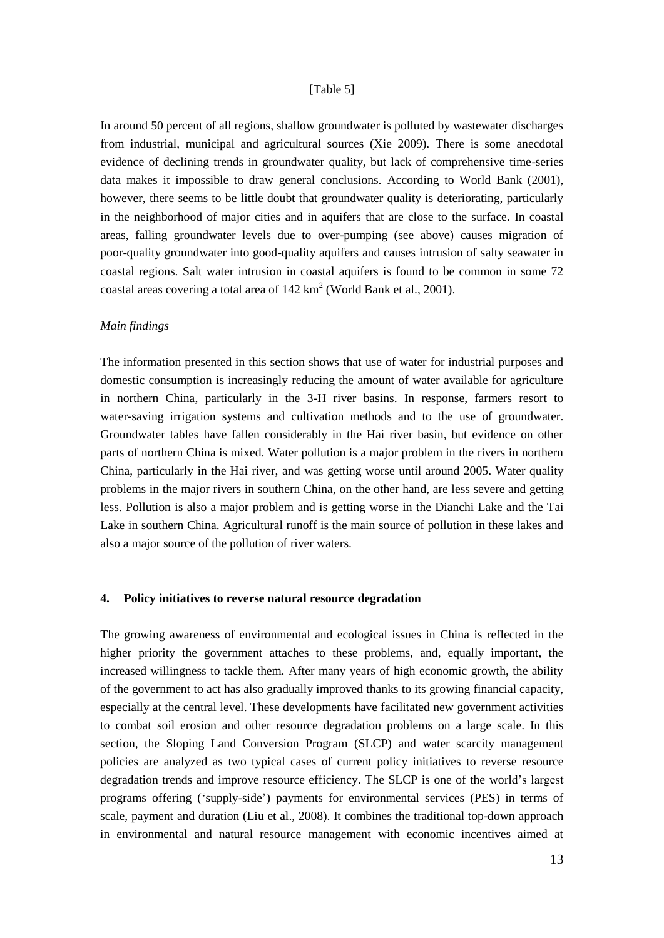#### [Table 5]

In around 50 percent of all regions, shallow groundwater is polluted by wastewater discharges from industrial, municipal and agricultural sources (Xie 2009). There is some anecdotal evidence of declining trends in groundwater quality, but lack of comprehensive time-series data makes it impossible to draw general conclusions. According to World Bank (2001), however, there seems to be little doubt that groundwater quality is deteriorating, particularly in the neighborhood of major cities and in aquifers that are close to the surface. In coastal areas, falling groundwater levels due to over-pumping (see above) causes migration of poor-quality groundwater into good-quality aquifers and causes intrusion of salty seawater in coastal regions. Salt water intrusion in coastal aquifers is found to be common in some 72 coastal areas covering a total area of  $142 \text{ km}^2$  (World Bank et al., 2001).

#### *Main findings*

The information presented in this section shows that use of water for industrial purposes and domestic consumption is increasingly reducing the amount of water available for agriculture in northern China, particularly in the 3-H river basins. In response, farmers resort to water-saving irrigation systems and cultivation methods and to the use of groundwater. Groundwater tables have fallen considerably in the Hai river basin, but evidence on other parts of northern China is mixed. Water pollution is a major problem in the rivers in northern China, particularly in the Hai river, and was getting worse until around 2005. Water quality problems in the major rivers in southern China, on the other hand, are less severe and getting less. Pollution is also a major problem and is getting worse in the Dianchi Lake and the Tai Lake in southern China. Agricultural runoff is the main source of pollution in these lakes and also a major source of the pollution of river waters.

#### **4. Policy initiatives to reverse natural resource degradation**

The growing awareness of environmental and ecological issues in China is reflected in the higher priority the government attaches to these problems, and, equally important, the increased willingness to tackle them. After many years of high economic growth, the ability of the government to act has also gradually improved thanks to its growing financial capacity, especially at the central level. These developments have facilitated new government activities to combat soil erosion and other resource degradation problems on a large scale. In this section, the Sloping Land Conversion Program (SLCP) and water scarcity management policies are analyzed as two typical cases of current policy initiatives to reverse resource degradation trends and improve resource efficiency. The SLCP is one of the world's largest programs offering ('supply-side') payments for environmental services (PES) in terms of scale, payment and duration (Liu et al., 2008). It combines the traditional top-down approach in environmental and natural resource management with economic incentives aimed at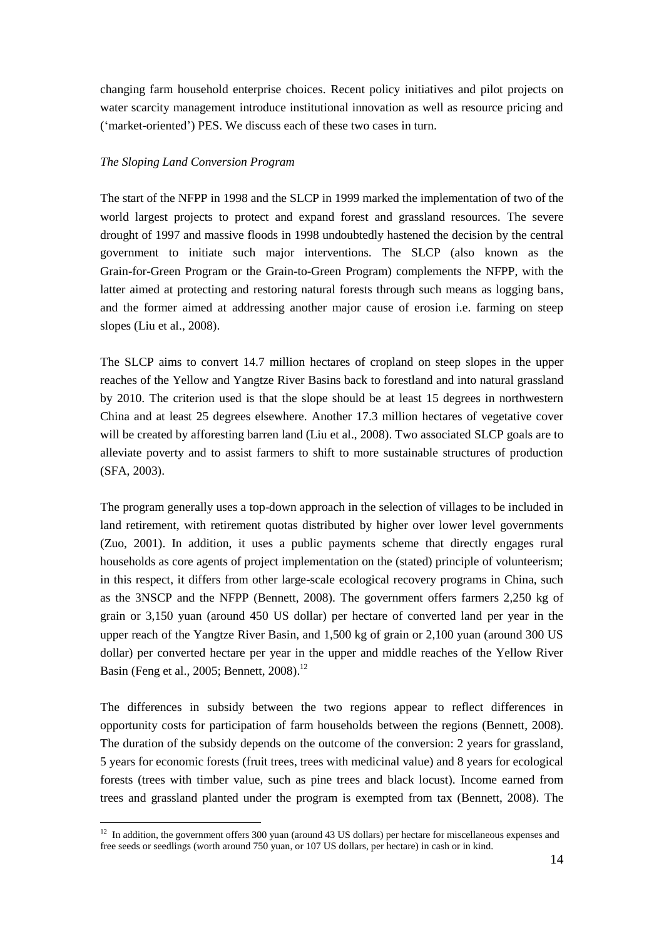changing farm household enterprise choices. Recent policy initiatives and pilot projects on water scarcity management introduce institutional innovation as well as resource pricing and ('market-oriented') PES. We discuss each of these two cases in turn.

## *The Sloping Land Conversion Program*

1

The start of the NFPP in 1998 and the SLCP in 1999 marked the implementation of two of the world largest projects to protect and expand forest and grassland resources. The severe drought of 1997 and massive floods in 1998 undoubtedly hastened the decision by the central government to initiate such major interventions. The SLCP (also known as the Grain-for-Green Program or the Grain-to-Green Program) complements the NFPP, with the latter aimed at protecting and restoring natural forests through such means as logging bans, and the former aimed at addressing another major cause of erosion i.e. farming on steep slopes (Liu et al., 2008).

The SLCP aims to convert 14.7 million hectares of cropland on steep slopes in the upper reaches of the Yellow and Yangtze River Basins back to forestland and into natural grassland by 2010. The criterion used is that the slope should be at least 15 degrees in northwestern China and at least 25 degrees elsewhere. Another 17.3 million hectares of vegetative cover will be created by afforesting barren land (Liu et al., 2008). Two associated SLCP goals are to alleviate poverty and to assist farmers to shift to more sustainable structures of production (SFA, 2003).

The program generally uses a top-down approach in the selection of villages to be included in land retirement, with retirement quotas distributed by higher over lower level governments (Zuo, 2001). In addition, it uses a public payments scheme that directly engages rural households as core agents of project implementation on the (stated) principle of volunteerism; in this respect, it differs from other large-scale ecological recovery programs in China, such as the 3NSCP and the NFPP (Bennett, 2008). The government offers farmers 2,250 kg of grain or 3,150 yuan (around 450 US dollar) per hectare of converted land per year in the upper reach of the Yangtze River Basin, and 1,500 kg of grain or 2,100 yuan (around 300 US dollar) per converted hectare per year in the upper and middle reaches of the Yellow River Basin (Feng et al., 2005; Bennett, 2008).<sup>12</sup>

The differences in subsidy between the two regions appear to reflect differences in opportunity costs for participation of farm households between the regions (Bennett, 2008). The duration of the subsidy depends on the outcome of the conversion: 2 years for grassland, 5 years for economic forests (fruit trees, trees with medicinal value) and 8 years for ecological forests (trees with timber value, such as pine trees and black locust). Income earned from trees and grassland planted under the program is exempted from tax (Bennett, 2008). The

 $12$  In addition, the government offers 300 yuan (around 43 US dollars) per hectare for miscellaneous expenses and free seeds or seedlings (worth around 750 yuan, or 107 US dollars, per hectare) in cash or in kind.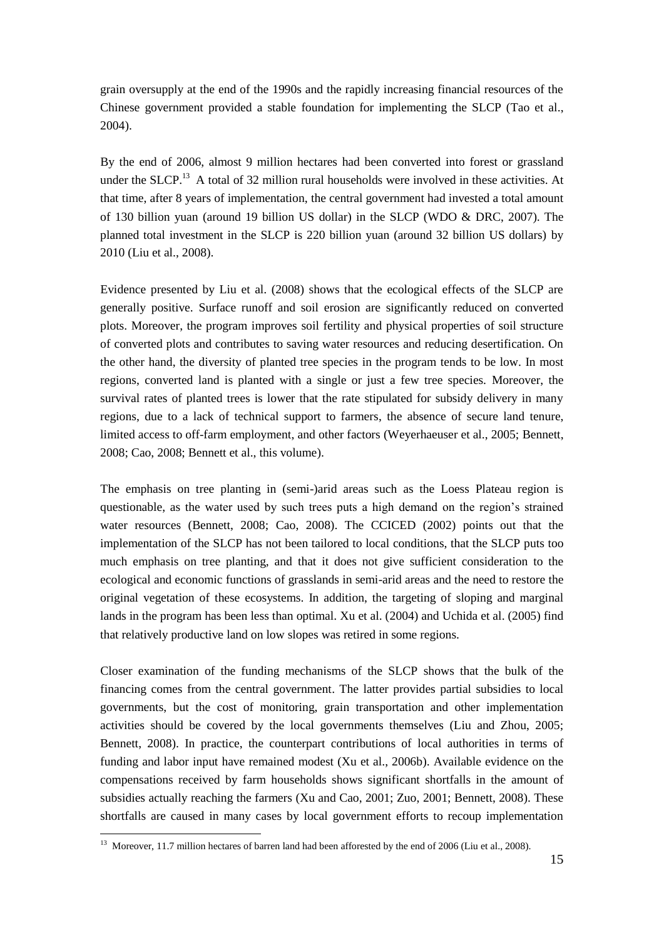grain oversupply at the end of the 1990s and the rapidly increasing financial resources of the Chinese government provided a stable foundation for implementing the SLCP (Tao et al., 2004).

By the end of 2006, almost 9 million hectares had been converted into forest or grassland under the SLCP.<sup>13</sup> A total of 32 million rural households were involved in these activities. At that time, after 8 years of implementation, the central government had invested a total amount of 130 billion yuan (around 19 billion US dollar) in the SLCP (WDO & DRC, 2007). The planned total investment in the SLCP is 220 billion yuan (around 32 billion US dollars) by 2010 (Liu et al., 2008).

Evidence presented by Liu et al. (2008) shows that the ecological effects of the SLCP are generally positive. Surface runoff and soil erosion are significantly reduced on converted plots. Moreover, the program improves soil fertility and physical properties of soil structure of converted plots and contributes to saving water resources and reducing desertification. On the other hand, the diversity of planted tree species in the program tends to be low. In most regions, converted land is planted with a single or just a few tree species. Moreover, the survival rates of planted trees is lower that the rate stipulated for subsidy delivery in many regions, due to a lack of technical support to farmers, the absence of secure land tenure, limited access to off-farm employment, and other factors (Weyerhaeuser et al., 2005; Bennett, 2008; Cao, 2008; Bennett et al., this volume).

The emphasis on tree planting in (semi-)arid areas such as the Loess Plateau region is questionable, as the water used by such trees puts a high demand on the region's strained water resources (Bennett, 2008; Cao, 2008). The CCICED (2002) points out that the implementation of the SLCP has not been tailored to local conditions, that the SLCP puts too much emphasis on tree planting, and that it does not give sufficient consideration to the ecological and economic functions of grasslands in semi-arid areas and the need to restore the original vegetation of these ecosystems. In addition, the targeting of sloping and marginal lands in the program has been less than optimal. Xu et al. (2004) and Uchida et al. (2005) find that relatively productive land on low slopes was retired in some regions.

Closer examination of the funding mechanisms of the SLCP shows that the bulk of the financing comes from the central government. The latter provides partial subsidies to local governments, but the cost of monitoring, grain transportation and other implementation activities should be covered by the local governments themselves (Liu and Zhou, 2005; Bennett, 2008). In practice, the counterpart contributions of local authorities in terms of funding and labor input have remained modest (Xu et al., 2006b). Available evidence on the compensations received by farm households shows significant shortfalls in the amount of subsidies actually reaching the farmers (Xu and Cao, 2001; Zuo, 2001; Bennett, 2008). These shortfalls are caused in many cases by local government efforts to recoup implementation

<sup>&</sup>lt;sup>13</sup> Moreover, 11.7 million hectares of barren land had been afforested by the end of 2006 (Liu et al., 2008).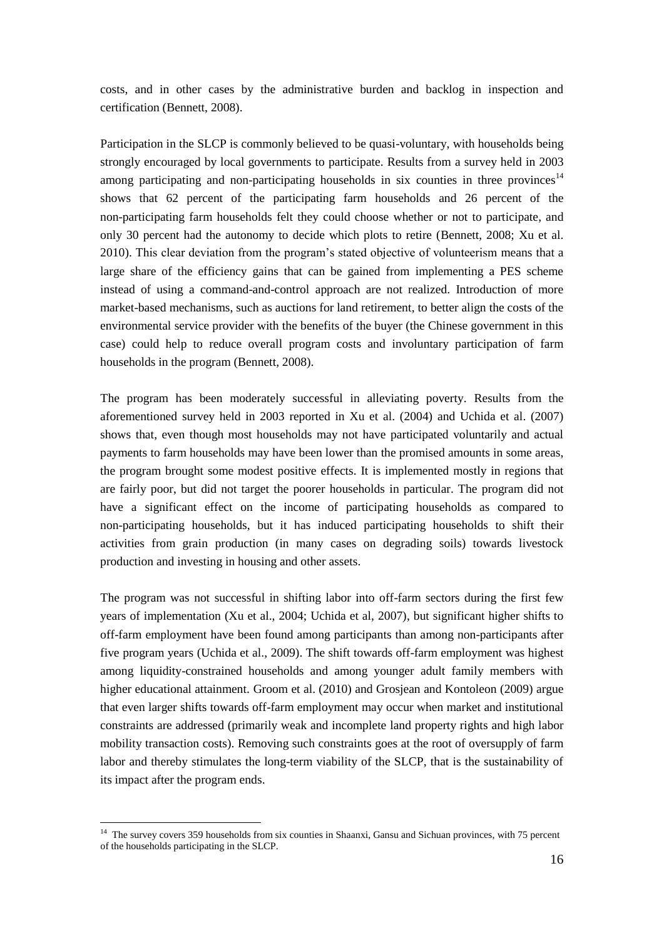costs, and in other cases by the administrative burden and backlog in inspection and certification (Bennett, 2008).

Participation in the SLCP is commonly believed to be quasi-voluntary, with households being strongly encouraged by local governments to participate. Results from a survey held in 2003 among participating and non-participating households in six counties in three provinces<sup>14</sup> shows that 62 percent of the participating farm households and 26 percent of the non-participating farm households felt they could choose whether or not to participate, and only 30 percent had the autonomy to decide which plots to retire (Bennett, 2008; Xu et al. 2010). This clear deviation from the program's stated objective of volunteerism means that a large share of the efficiency gains that can be gained from implementing a PES scheme instead of using a command-and-control approach are not realized. Introduction of more market-based mechanisms, such as auctions for land retirement, to better align the costs of the environmental service provider with the benefits of the buyer (the Chinese government in this case) could help to reduce overall program costs and involuntary participation of farm households in the program (Bennett, 2008).

The program has been moderately successful in alleviating poverty. Results from the aforementioned survey held in 2003 reported in Xu et al. (2004) and Uchida et al. (2007) shows that, even though most households may not have participated voluntarily and actual payments to farm households may have been lower than the promised amounts in some areas, the program brought some modest positive effects. It is implemented mostly in regions that are fairly poor, but did not target the poorer households in particular. The program did not have a significant effect on the income of participating households as compared to non-participating households, but it has induced participating households to shift their activities from grain production (in many cases on degrading soils) towards livestock production and investing in housing and other assets.

The program was not successful in shifting labor into off-farm sectors during the first few years of implementation (Xu et al., 2004; Uchida et al, 2007), but significant higher shifts to off-farm employment have been found among participants than among non-participants after five program years (Uchida et al., 2009). The shift towards off-farm employment was highest among liquidity-constrained households and among younger adult family members with higher educational attainment. Groom et al. (2010) and Grosjean and Kontoleon (2009) argue that even larger shifts towards off-farm employment may occur when market and institutional constraints are addressed (primarily weak and incomplete land property rights and high labor mobility transaction costs). Removing such constraints goes at the root of oversupply of farm labor and thereby stimulates the long-term viability of the SLCP, that is the sustainability of its impact after the program ends.

<sup>&</sup>lt;sup>14</sup> The survey covers 359 households from six counties in Shaanxi, Gansu and Sichuan provinces, with 75 percent of the households participating in the SLCP.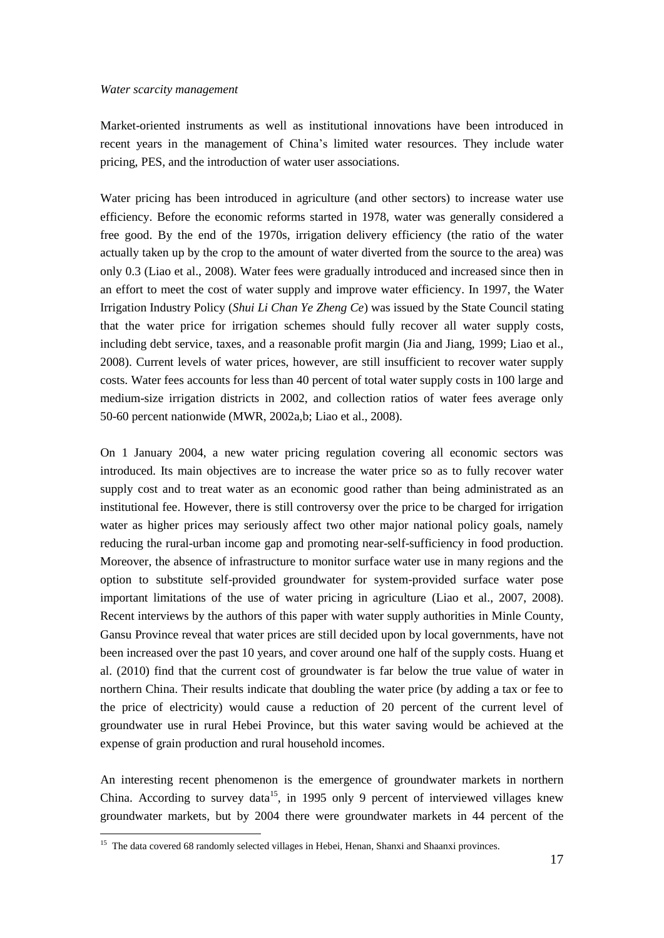#### *Water scarcity management*

Market-oriented instruments as well as institutional innovations have been introduced in recent years in the management of China's limited water resources. They include water pricing, PES, and the introduction of water user associations.

Water pricing has been introduced in agriculture (and other sectors) to increase water use efficiency. Before the economic reforms started in 1978, water was generally considered a free good. By the end of the 1970s, irrigation delivery efficiency (the ratio of the water actually taken up by the crop to the amount of water diverted from the source to the area) was only 0.3 (Liao et al., 2008). Water fees were gradually introduced and increased since then in an effort to meet the cost of water supply and improve water efficiency. In 1997, the Water Irrigation Industry Policy (*Shui Li Chan Ye Zheng Ce*) was issued by the State Council stating that the water price for irrigation schemes should fully recover all water supply costs, including debt service, taxes, and a reasonable profit margin (Jia and Jiang, 1999; Liao et al., 2008). Current levels of water prices, however, are still insufficient to recover water supply costs. Water fees accounts for less than 40 percent of total water supply costs in 100 large and medium-size irrigation districts in 2002, and collection ratios of water fees average only 50-60 percent nationwide (MWR, 2002a,b; Liao et al., 2008).

On 1 January 2004, a new water pricing regulation covering all economic sectors was introduced. Its main objectives are to increase the water price so as to fully recover water supply cost and to treat water as an economic good rather than being administrated as an institutional fee. However, there is still controversy over the price to be charged for irrigation water as higher prices may seriously affect two other major national policy goals, namely reducing the rural-urban income gap and promoting near-self-sufficiency in food production. Moreover, the absence of infrastructure to monitor surface water use in many regions and the option to substitute self-provided groundwater for system-provided surface water pose important limitations of the use of water pricing in agriculture (Liao et al., 2007, 2008). Recent interviews by the authors of this paper with water supply authorities in Minle County, Gansu Province reveal that water prices are still decided upon by local governments, have not been increased over the past 10 years, and cover around one half of the supply costs. Huang et al. (2010) find that the current cost of groundwater is far below the true value of water in northern China. Their results indicate that doubling the water price (by adding a tax or fee to the price of electricity) would cause a reduction of 20 percent of the current level of groundwater use in rural Hebei Province, but this water saving would be achieved at the expense of grain production and rural household incomes.

An interesting recent phenomenon is the emergence of groundwater markets in northern China. According to survey data<sup>15</sup>, in 1995 only 9 percent of interviewed villages knew groundwater markets, but by 2004 there were groundwater markets in 44 percent of the

<sup>&</sup>lt;sup>15</sup> The data covered 68 randomly selected villages in Hebei, Henan, Shanxi and Shaanxi provinces.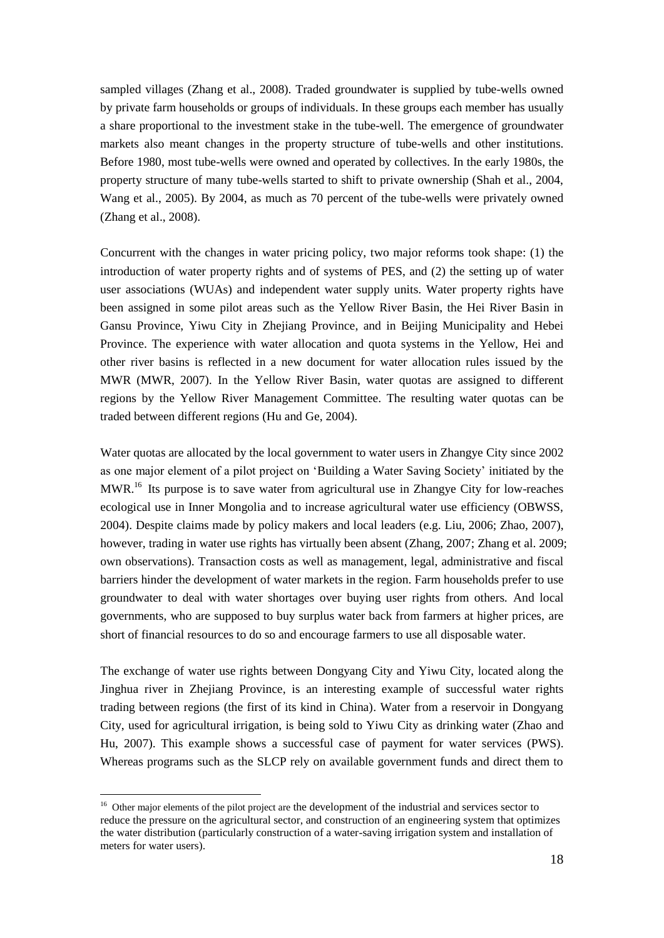sampled villages (Zhang et al., 2008). Traded groundwater is supplied by tube-wells owned by private farm households or groups of individuals. In these groups each member has usually a share proportional to the investment stake in the tube-well. The emergence of groundwater markets also meant changes in the property structure of tube-wells and other institutions. Before 1980, most tube-wells were owned and operated by collectives. In the early 1980s, the property structure of many tube-wells started to shift to private ownership (Shah et al., 2004, Wang et al., 2005). By 2004, as much as 70 percent of the tube-wells were privately owned (Zhang et al., 2008).

Concurrent with the changes in water pricing policy, two major reforms took shape: (1) the introduction of water property rights and of systems of PES, and (2) the setting up of water user associations (WUAs) and independent water supply units. Water property rights have been assigned in some pilot areas such as the Yellow River Basin, the Hei River Basin in Gansu Province, Yiwu City in Zhejiang Province, and in Beijing Municipality and Hebei Province. The experience with water allocation and quota systems in the Yellow, Hei and other river basins is reflected in a new document for water allocation rules issued by the MWR (MWR, 2007). In the Yellow River Basin, water quotas are assigned to different regions by the Yellow River Management Committee. The resulting water quotas can be traded between different regions (Hu and Ge, 2004).

Water quotas are allocated by the local government to water users in Zhangye City since 2002 as one major element of a pilot project on 'Building a Water Saving Society' initiated by the MWR.<sup>16</sup> Its purpose is to save water from agricultural use in Zhangye City for low-reaches ecological use in Inner Mongolia and to increase agricultural water use efficiency (OBWSS, 2004). Despite claims made by policy makers and local leaders (e.g. Liu, 2006; Zhao, 2007), however, trading in water use rights has virtually been absent (Zhang, 2007; Zhang et al. 2009; own observations). Transaction costs as well as management, legal, administrative and fiscal barriers hinder the development of water markets in the region. Farm households prefer to use groundwater to deal with water shortages over buying user rights from others. And local governments, who are supposed to buy surplus water back from farmers at higher prices, are short of financial resources to do so and encourage farmers to use all disposable water.

The exchange of water use rights between Dongyang City and Yiwu City, located along the Jinghua river in Zhejiang Province, is an interesting example of successful water rights trading between regions (the first of its kind in China). Water from a reservoir in Dongyang City, used for agricultural irrigation, is being sold to Yiwu City as drinking water (Zhao and Hu, 2007). This example shows a successful case of payment for water services (PWS). Whereas programs such as the SLCP rely on available government funds and direct them to

<sup>&</sup>lt;sup>16</sup> Other major elements of the pilot project are the development of the industrial and services sector to reduce the pressure on the agricultural sector, and construction of an engineering system that optimizes the water distribution (particularly construction of a water-saving irrigation system and installation of meters for water users).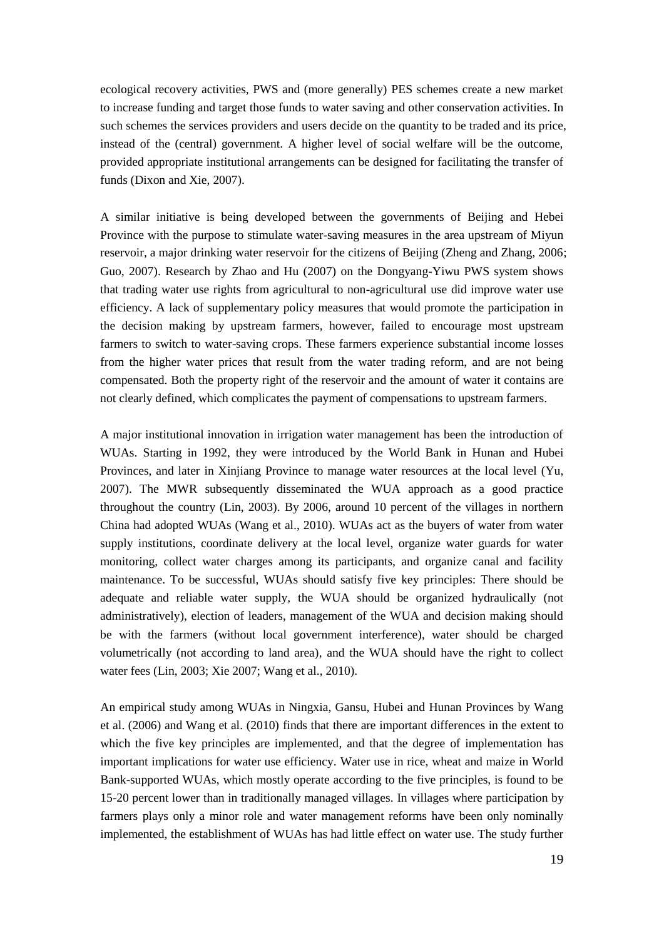ecological recovery activities, PWS and (more generally) PES schemes create a new market to increase funding and target those funds to water saving and other conservation activities. In such schemes the services providers and users decide on the quantity to be traded and its price, instead of the (central) government. A higher level of social welfare will be the outcome, provided appropriate institutional arrangements can be designed for facilitating the transfer of funds (Dixon and Xie, 2007).

A similar initiative is being developed between the governments of Beijing and Hebei Province with the purpose to stimulate water-saving measures in the area upstream of Miyun reservoir, a major drinking water reservoir for the citizens of Beijing (Zheng and Zhang, 2006; Guo, 2007). Research by Zhao and Hu (2007) on the Dongyang-Yiwu PWS system shows that trading water use rights from agricultural to non-agricultural use did improve water use efficiency. A lack of supplementary policy measures that would promote the participation in the decision making by upstream farmers, however, failed to encourage most upstream farmers to switch to water-saving crops. These farmers experience substantial income losses from the higher water prices that result from the water trading reform, and are not being compensated. Both the property right of the reservoir and the amount of water it contains are not clearly defined, which complicates the payment of compensations to upstream farmers.

A major institutional innovation in irrigation water management has been the introduction of WUAs. Starting in 1992, they were introduced by the World Bank in Hunan and Hubei Provinces, and later in Xinjiang Province to manage water resources at the local level (Yu, 2007). The MWR subsequently disseminated the WUA approach as a good practice throughout the country (Lin, 2003). By 2006, around 10 percent of the villages in northern China had adopted WUAs (Wang et al., 2010). WUAs act as the buyers of water from water supply institutions, coordinate delivery at the local level, organize water guards for water monitoring, collect water charges among its participants, and organize canal and facility maintenance. To be successful, WUAs should satisfy five key principles: There should be adequate and reliable water supply, the WUA should be organized hydraulically (not administratively), election of leaders, management of the WUA and decision making should be with the farmers (without local government interference), water should be charged volumetrically (not according to land area), and the WUA should have the right to collect water fees (Lin, 2003; Xie 2007; Wang et al., 2010).

An empirical study among WUAs in Ningxia, Gansu, Hubei and Hunan Provinces by Wang et al. (2006) and Wang et al. (2010) finds that there are important differences in the extent to which the five key principles are implemented, and that the degree of implementation has important implications for water use efficiency. Water use in rice, wheat and maize in World Bank-supported WUAs, which mostly operate according to the five principles, is found to be 15-20 percent lower than in traditionally managed villages. In villages where participation by farmers plays only a minor role and water management reforms have been only nominally implemented, the establishment of WUAs has had little effect on water use. The study further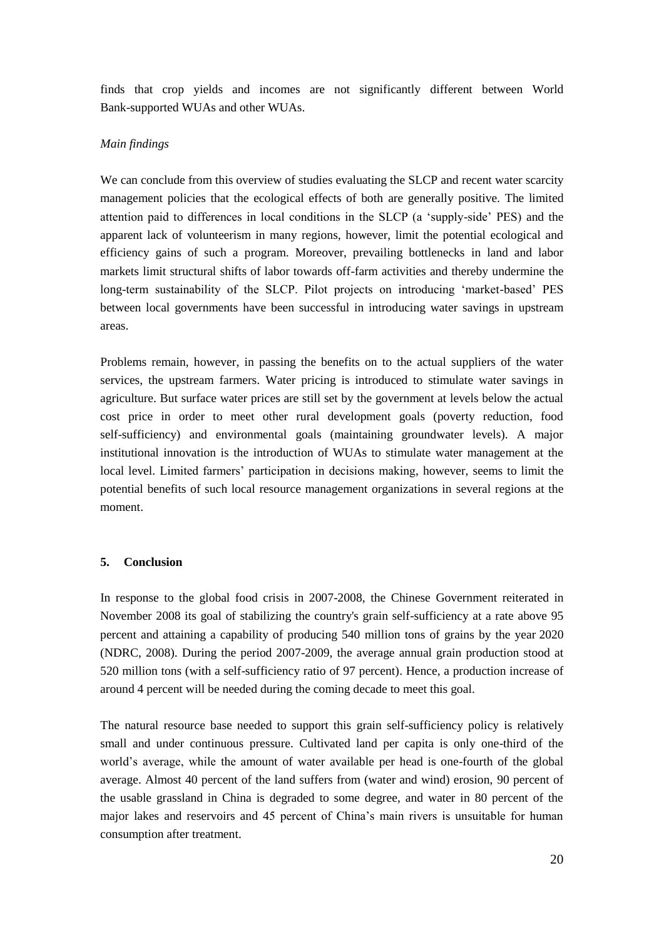finds that crop yields and incomes are not significantly different between World Bank-supported WUAs and other WUAs.

### *Main findings*

We can conclude from this overview of studies evaluating the SLCP and recent water scarcity management policies that the ecological effects of both are generally positive. The limited attention paid to differences in local conditions in the SLCP (a 'supply-side' PES) and the apparent lack of volunteerism in many regions, however, limit the potential ecological and efficiency gains of such a program. Moreover, prevailing bottlenecks in land and labor markets limit structural shifts of labor towards off-farm activities and thereby undermine the long-term sustainability of the SLCP. Pilot projects on introducing 'market-based' PES between local governments have been successful in introducing water savings in upstream areas.

Problems remain, however, in passing the benefits on to the actual suppliers of the water services, the upstream farmers. Water pricing is introduced to stimulate water savings in agriculture. But surface water prices are still set by the government at levels below the actual cost price in order to meet other rural development goals (poverty reduction, food self-sufficiency) and environmental goals (maintaining groundwater levels). A major institutional innovation is the introduction of WUAs to stimulate water management at the local level. Limited farmers' participation in decisions making, however, seems to limit the potential benefits of such local resource management organizations in several regions at the moment.

#### **5. Conclusion**

In response to the global food crisis in 2007-2008, the Chinese Government reiterated in November 2008 its goal of stabilizing the country's grain self-sufficiency at a rate above 95 percent and attaining a capability of producing 540 million tons of grains by the year 2020 (NDRC, 2008). During the period 2007-2009, the average annual grain production stood at 520 million tons (with a self-sufficiency ratio of 97 percent). Hence, a production increase of around 4 percent will be needed during the coming decade to meet this goal.

The natural resource base needed to support this grain self-sufficiency policy is relatively small and under continuous pressure. Cultivated land per capita is only one-third of the world's average, while the amount of water available per head is one-fourth of the global average. Almost 40 percent of the land suffers from (water and wind) erosion, 90 percent of the usable grassland in China is degraded to some degree, and water in 80 percent of the major lakes and reservoirs and 45 percent of China's main rivers is unsuitable for human consumption after treatment.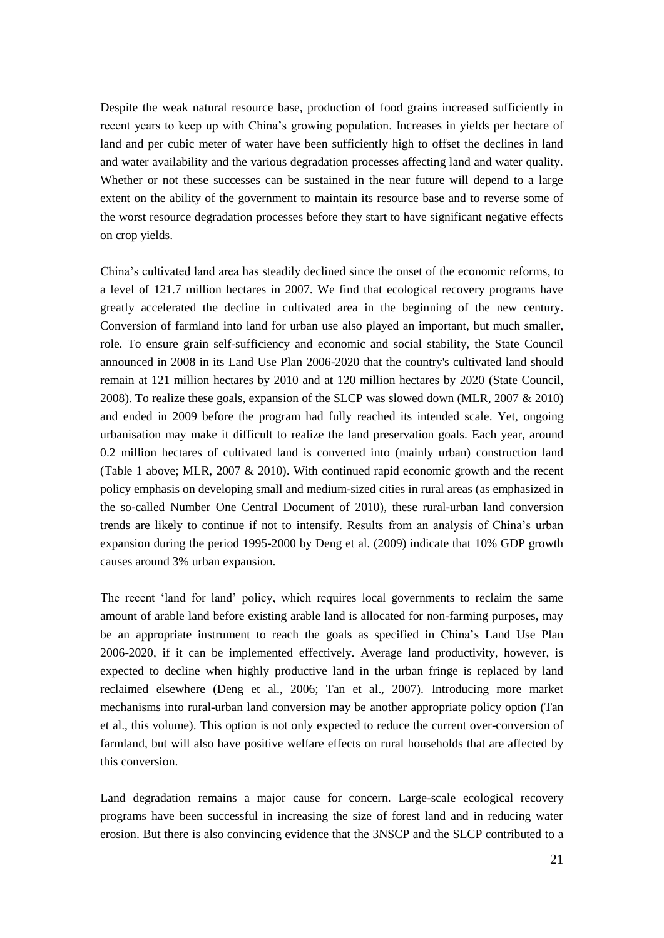Despite the weak natural resource base, production of food grains increased sufficiently in recent years to keep up with China's growing population. Increases in yields per hectare of land and per cubic meter of water have been sufficiently high to offset the declines in land and water availability and the various degradation processes affecting land and water quality. Whether or not these successes can be sustained in the near future will depend to a large extent on the ability of the government to maintain its resource base and to reverse some of the worst resource degradation processes before they start to have significant negative effects on crop yields.

China's cultivated land area has steadily declined since the onset of the economic reforms, to a level of 121.7 million hectares in 2007. We find that ecological recovery programs have greatly accelerated the decline in cultivated area in the beginning of the new century. Conversion of farmland into land for urban use also played an important, but much smaller, role. To ensure grain self-sufficiency and economic and social stability, the State Council announced in 2008 in its Land Use Plan 2006-2020 that the country's cultivated land should remain at 121 million hectares by 2010 and at 120 million hectares by 2020 (State Council, 2008). To realize these goals, expansion of the SLCP was slowed down (MLR, 2007 & 2010) and ended in 2009 before the program had fully reached its intended scale. Yet, ongoing urbanisation may make it difficult to realize the land preservation goals. Each year, around 0.2 million hectares of cultivated land is converted into (mainly urban) construction land (Table 1 above; MLR, 2007 & 2010). With continued rapid economic growth and the recent policy emphasis on developing small and medium-sized cities in rural areas (as emphasized in the so-called Number One Central Document of 2010), these rural-urban land conversion trends are likely to continue if not to intensify. Results from an analysis of China's urban expansion during the period 1995-2000 by Deng et al. (2009) indicate that 10% GDP growth causes around 3% urban expansion.

The recent 'land for land' policy, which requires local governments to reclaim the same amount of arable land before existing arable land is allocated for non-farming purposes, may be an appropriate instrument to reach the goals as specified in China's Land Use Plan 2006-2020, if it can be implemented effectively. Average land productivity, however, is expected to decline when highly productive land in the urban fringe is replaced by land reclaimed elsewhere (Deng et al., 2006; Tan et al., 2007). Introducing more market mechanisms into rural-urban land conversion may be another appropriate policy option (Tan et al., this volume). This option is not only expected to reduce the current over-conversion of farmland, but will also have positive welfare effects on rural households that are affected by this conversion.

Land degradation remains a major cause for concern. Large-scale ecological recovery programs have been successful in increasing the size of forest land and in reducing water erosion. But there is also convincing evidence that the 3NSCP and the SLCP contributed to a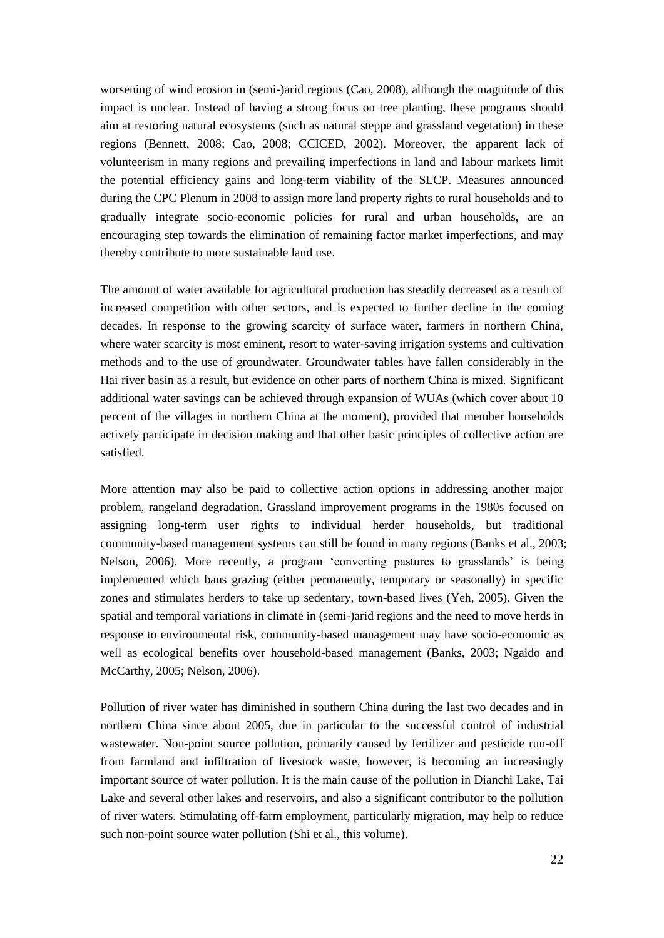worsening of wind erosion in (semi-)arid regions (Cao, 2008), although the magnitude of this impact is unclear. Instead of having a strong focus on tree planting, these programs should aim at restoring natural ecosystems (such as natural steppe and grassland vegetation) in these regions (Bennett, 2008; Cao, 2008; CCICED, 2002). Moreover, the apparent lack of volunteerism in many regions and prevailing imperfections in land and labour markets limit the potential efficiency gains and long-term viability of the SLCP. Measures announced during the CPC Plenum in 2008 to assign more land property rights to rural households and to gradually integrate socio-economic policies for rural and urban households, are an encouraging step towards the elimination of remaining factor market imperfections, and may thereby contribute to more sustainable land use.

The amount of water available for agricultural production has steadily decreased as a result of increased competition with other sectors, and is expected to further decline in the coming decades. In response to the growing scarcity of surface water, farmers in northern China, where water scarcity is most eminent, resort to water-saving irrigation systems and cultivation methods and to the use of groundwater. Groundwater tables have fallen considerably in the Hai river basin as a result, but evidence on other parts of northern China is mixed. Significant additional water savings can be achieved through expansion of WUAs (which cover about 10 percent of the villages in northern China at the moment), provided that member households actively participate in decision making and that other basic principles of collective action are satisfied.

More attention may also be paid to collective action options in addressing another major problem, rangeland degradation. Grassland improvement programs in the 1980s focused on assigning long-term user rights to individual herder households, but traditional community-based management systems can still be found in many regions (Banks et al., 2003; Nelson, 2006). More recently, a program 'converting pastures to grasslands' is being implemented which bans grazing (either permanently, temporary or seasonally) in specific zones and stimulates herders to take up sedentary, town-based lives (Yeh, 2005). Given the spatial and temporal variations in climate in (semi-)arid regions and the need to move herds in response to environmental risk, community-based management may have socio-economic as well as ecological benefits over household-based management (Banks, 2003; Ngaido and McCarthy, 2005; Nelson, 2006).

Pollution of river water has diminished in southern China during the last two decades and in northern China since about 2005, due in particular to the successful control of industrial wastewater. Non-point source pollution, primarily caused by fertilizer and pesticide run-off from farmland and infiltration of livestock waste, however, is becoming an increasingly important source of water pollution. It is the main cause of the pollution in Dianchi Lake, Tai Lake and several other lakes and reservoirs, and also a significant contributor to the pollution of river waters. Stimulating off-farm employment, particularly migration, may help to reduce such non-point source water pollution (Shi et al., this volume).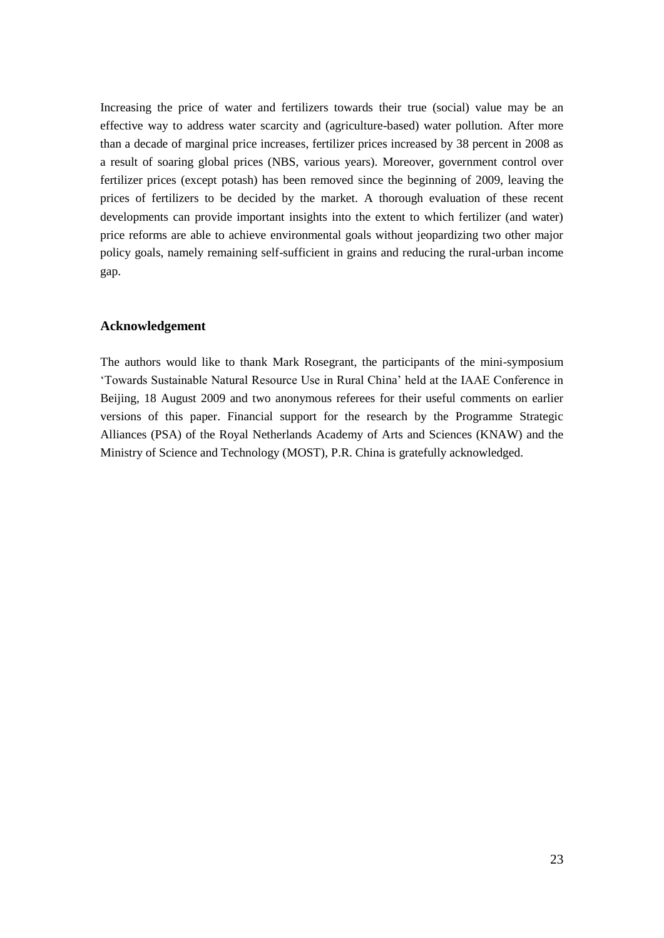Increasing the price of water and fertilizers towards their true (social) value may be an effective way to address water scarcity and (agriculture-based) water pollution. After more than a decade of marginal price increases, fertilizer prices increased by 38 percent in 2008 as a result of soaring global prices (NBS, various years). Moreover, government control over fertilizer prices (except potash) has been removed since the beginning of 2009, leaving the prices of fertilizers to be decided by the market. A thorough evaluation of these recent developments can provide important insights into the extent to which fertilizer (and water) price reforms are able to achieve environmental goals without jeopardizing two other major policy goals, namely remaining self-sufficient in grains and reducing the rural-urban income gap.

## **Acknowledgement**

The authors would like to thank Mark Rosegrant, the participants of the mini-symposium 'Towards Sustainable Natural Resource Use in Rural China' held at the IAAE Conference in Beijing, 18 August 2009 and two anonymous referees for their useful comments on earlier versions of this paper. Financial support for the research by the Programme Strategic Alliances (PSA) of the Royal Netherlands Academy of Arts and Sciences (KNAW) and the Ministry of Science and Technology (MOST), P.R. China is gratefully acknowledged.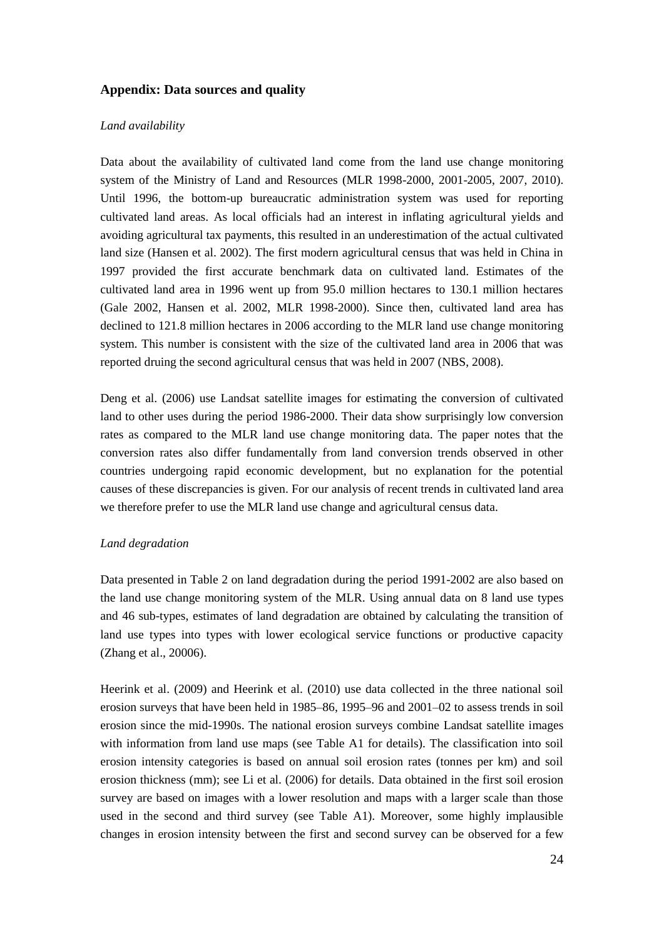## **Appendix: Data sources and quality**

### *Land availability*

Data about the availability of cultivated land come from the land use change monitoring system of the Ministry of Land and Resources (MLR 1998-2000, 2001-2005, 2007, 2010). Until 1996, the bottom-up bureaucratic administration system was used for reporting cultivated land areas. As local officials had an interest in inflating agricultural yields and avoiding agricultural tax payments, this resulted in an underestimation of the actual cultivated land size (Hansen et al. 2002). The first modern agricultural census that was held in China in 1997 provided the first accurate benchmark data on cultivated land. Estimates of the cultivated land area in 1996 went up from 95.0 million hectares to 130.1 million hectares (Gale 2002, Hansen et al. 2002, MLR 1998-2000). Since then, cultivated land area has declined to 121.8 million hectares in 2006 according to the MLR land use change monitoring system. This number is consistent with the size of the cultivated land area in 2006 that was reported druing the second agricultural census that was held in 2007 (NBS, 2008).

Deng et al. (2006) use Landsat satellite images for estimating the conversion of cultivated land to other uses during the period 1986-2000. Their data show surprisingly low conversion rates as compared to the MLR land use change monitoring data. The paper notes that the conversion rates also differ fundamentally from land conversion trends observed in other countries undergoing rapid economic development, but no explanation for the potential causes of these discrepancies is given. For our analysis of recent trends in cultivated land area we therefore prefer to use the MLR land use change and agricultural census data.

#### *Land degradation*

Data presented in Table 2 on land degradation during the period 1991-2002 are also based on the land use change monitoring system of the MLR. Using annual data on 8 land use types and 46 sub-types, estimates of land degradation are obtained by calculating the transition of land use types into types with lower ecological service functions or productive capacity (Zhang et al., 20006).

Heerink et al. (2009) and Heerink et al. (2010) use data collected in the three national soil erosion surveys that have been held in 1985–86, 1995–96 and 2001–02 to assess trends in soil erosion since the mid-1990s. The national erosion surveys combine Landsat satellite images with information from land use maps (see Table A1 for details). The classification into soil erosion intensity categories is based on annual soil erosion rates (tonnes per km) and soil erosion thickness (mm); see Li et al. (2006) for details. Data obtained in the first soil erosion survey are based on images with a lower resolution and maps with a larger scale than those used in the second and third survey (see Table A1). Moreover, some highly implausible changes in erosion intensity between the first and second survey can be observed for a few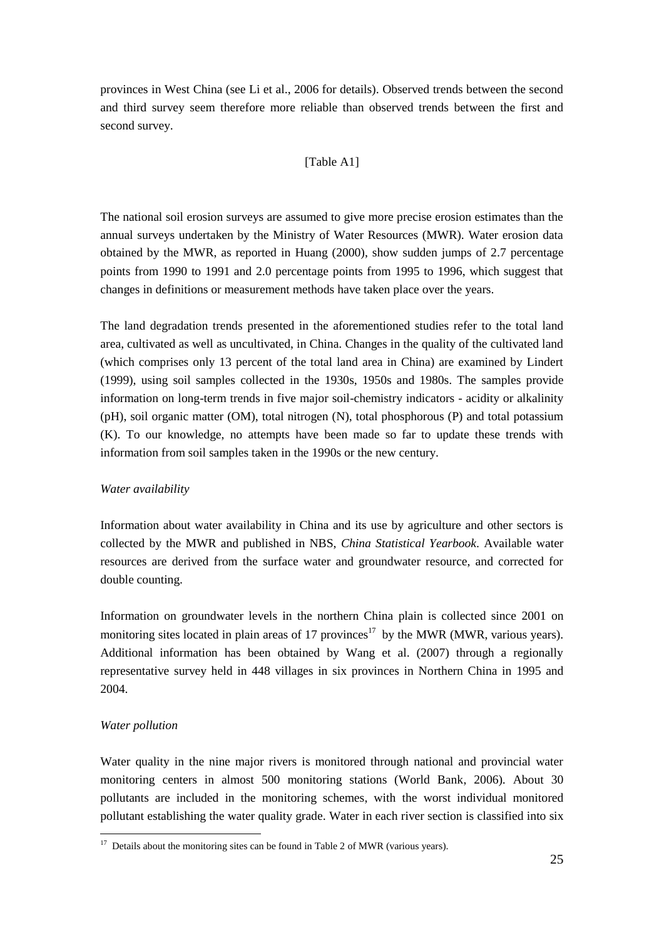provinces in West China (see Li et al., 2006 for details). Observed trends between the second and third survey seem therefore more reliable than observed trends between the first and second survey.

## [Table A1]

The national soil erosion surveys are assumed to give more precise erosion estimates than the annual surveys undertaken by the Ministry of Water Resources (MWR). Water erosion data obtained by the MWR, as reported in Huang (2000), show sudden jumps of 2.7 percentage points from 1990 to 1991 and 2.0 percentage points from 1995 to 1996, which suggest that changes in definitions or measurement methods have taken place over the years.

The land degradation trends presented in the aforementioned studies refer to the total land area, cultivated as well as uncultivated, in China. Changes in the quality of the cultivated land (which comprises only 13 percent of the total land area in China) are examined by Lindert (1999), using soil samples collected in the 1930s, 1950s and 1980s. The samples provide information on long-term trends in five major soil-chemistry indicators - acidity or alkalinity (pH), soil organic matter (OM), total nitrogen (N), total phosphorous (P) and total potassium (K). To our knowledge, no attempts have been made so far to update these trends with information from soil samples taken in the 1990s or the new century.

## *Water availability*

Information about water availability in China and its use by agriculture and other sectors is collected by the MWR and published in NBS, *China Statistical Yearbook*. Available water resources are derived from the surface water and groundwater resource, and corrected for double counting.

Information on groundwater levels in the northern China plain is collected since 2001 on monitoring sites located in plain areas of 17 provinces<sup>17</sup> by the MWR (MWR, various years). Additional information has been obtained by Wang et al. (2007) through a regionally representative survey held in 448 villages in six provinces in Northern China in 1995 and 2004.

## *Water pollution*

1

Water quality in the nine major rivers is monitored through national and provincial water monitoring centers in almost 500 monitoring stations (World Bank, 2006). About 30 pollutants are included in the monitoring schemes, with the worst individual monitored pollutant establishing the water quality grade. Water in each river section is classified into six

 $17$  Details about the monitoring sites can be found in Table 2 of MWR (various years).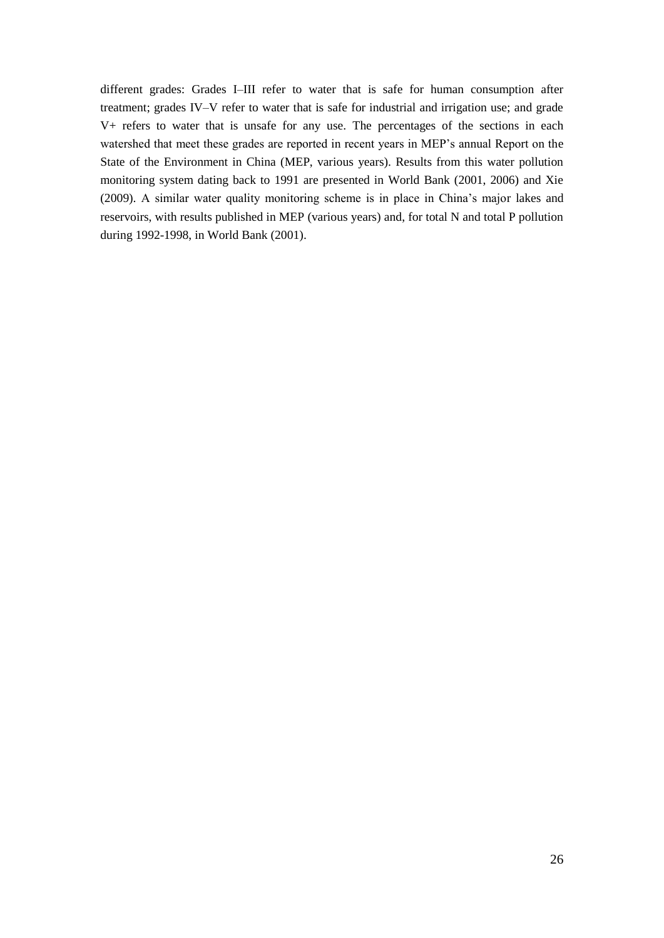different grades: Grades I–III refer to water that is safe for human consumption after treatment; grades IV–V refer to water that is safe for industrial and irrigation use; and grade V+ refers to water that is unsafe for any use. The percentages of the sections in each watershed that meet these grades are reported in recent years in MEP's annual Report on the State of the Environment in China (MEP, various years). Results from this water pollution monitoring system dating back to 1991 are presented in World Bank (2001, 2006) and Xie (2009). A similar water quality monitoring scheme is in place in China's major lakes and reservoirs, with results published in MEP (various years) and, for total N and total P pollution during 1992-1998, in World Bank (2001).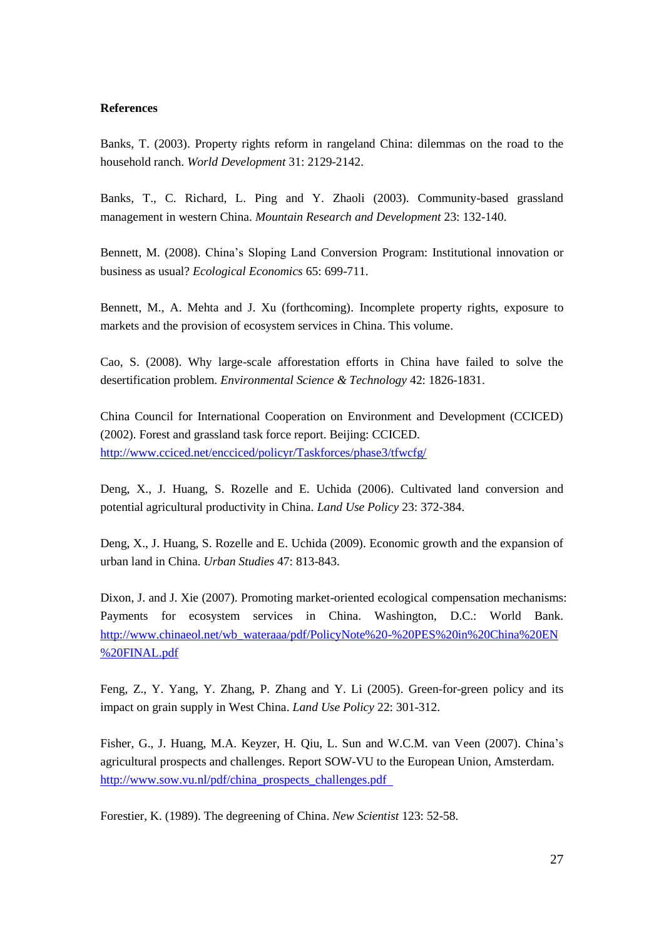## **References**

Banks, T. (2003). Property rights reform in rangeland China: dilemmas on the road to the household ranch. *World Development* 31: 2129-2142.

Banks, T., C. Richard, L. Ping and Y. Zhaoli (2003). Community-based grassland management in western China. *Mountain Research and Development* 23: 132-140.

Bennett, M. (2008). China's Sloping Land Conversion Program: Institutional innovation or business as usual? *Ecological Economics* 65: 699-711.

Bennett, M., A. Mehta and J. Xu (forthcoming). Incomplete property rights, exposure to markets and the provision of ecosystem services in China. This volume.

Cao, S. (2008). Why large-scale afforestation efforts in China have failed to solve the desertification problem. *Environmental Science & Technology* 42: 1826-1831.

China Council for International Cooperation on Environment and Development (CCICED) (2002). Forest and grassland task force report. Beijing: CCICED. <http://www.cciced.net/encciced/policyr/Taskforces/phase3/tfwcfg/>

Deng, X., J. Huang, S. Rozelle and E. Uchida (2006). Cultivated land conversion and potential agricultural productivity in China. *Land Use Policy* 23: 372-384.

Deng, X., J. Huang, S. Rozelle and E. Uchida (2009). Economic growth and the expansion of urban land in China. *Urban Studies* 47: 813-843.

Dixon, J. and J. Xie (2007). Promoting market-oriented ecological compensation mechanisms: Payments for ecosystem services in China. Washington, D.C.: World Bank. http://www.chinaeol.net/wb\_wateraaa/pdf/PolicyNote%20-%20PES%20in%20China%20EN %20FINAL.pdf

Feng, Z., Y. Yang, Y. Zhang, P. Zhang and Y. Li (2005). Green-for-green policy and its impact on grain supply in West China. *Land Use Policy* 22: 301-312.

Fisher, G., J. Huang, M.A. Keyzer, H. Qiu, L. Sun and W.C.M. van Veen (2007). China's agricultural prospects and challenges. Report SOW-VU to the European Union, Amsterdam. http://www.sow.vu.nl/pdf/china\_prospects\_challenges.pdf

Forestier, K. (1989). The degreening of China. *New Scientist* 123: 52-58.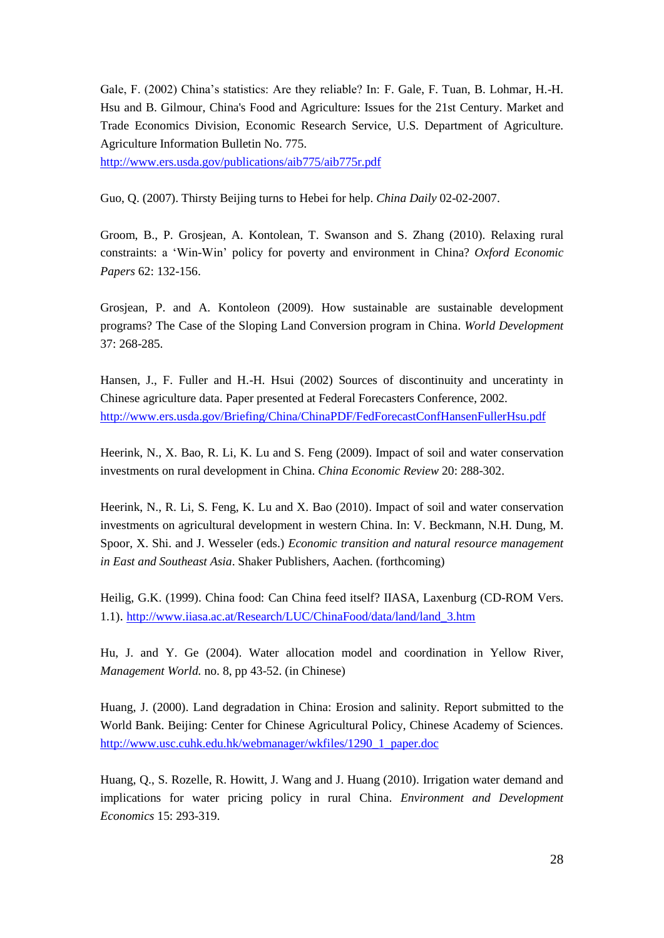Gale, F. (2002) China's statistics: Are they reliable? In: F. Gale, F. Tuan, B. Lohmar, H.-H. Hsu and B. Gilmour, China's Food and Agriculture: Issues for the 21st Century. Market and Trade Economics Division, Economic Research Service, U.S. Department of Agriculture. Agriculture Information Bulletin No. 775.

<http://www.ers.usda.gov/publications/aib775/aib775r.pdf>

Guo, Q. (2007). Thirsty Beijing turns to Hebei for help. *China Daily* 02-02-2007.

Groom, B., P. Grosjean, A. Kontolean, T. Swanson and S. Zhang (2010). Relaxing rural constraints: a 'Win-Win' policy for poverty and environment in China? *Oxford Economic Papers* 62: 132-156.

Grosjean, P. and A. Kontoleon (2009). How sustainable are sustainable development programs? The Case of the Sloping Land Conversion program in China. *World Development* 37: 268-285.

Hansen, J., F. Fuller and H.-H. Hsui (2002) Sources of discontinuity and unceratinty in Chinese agriculture data. Paper presented at Federal Forecasters Conference, 2002. <http://www.ers.usda.gov/Briefing/China/ChinaPDF/FedForecastConfHansenFullerHsu.pdf>

Heerink, N., X. Bao, R. Li, K. Lu and S. Feng (2009). Impact of soil and water conservation investments on rural development in China. *China Economic Review* 20: 288-302.

Heerink, N., R. Li, S. Feng, K. Lu and X. Bao (2010). Impact of soil and water conservation investments on agricultural development in western China. In: V. Beckmann, N.H. Dung, M. Spoor, X. Shi. and J. Wesseler (eds.) *Economic transition and natural resource management in East and Southeast Asia*. Shaker Publishers, Aachen. (forthcoming)

Heilig, G.K. (1999). China food: Can China feed itself? IIASA, Laxenburg (CD-ROM Vers. 1.1). http://www.iiasa.ac.at/Research/LUC/ChinaFood/data/land/land\_3.htm

Hu, J. and Y. Ge (2004). Water allocation model and coordination in Yellow River, *Management World.* no. 8, pp 43-52. (in Chinese)

Huang, J. (2000). Land degradation in China: Erosion and salinity. Report submitted to the World Bank. Beijing: Center for Chinese Agricultural Policy, Chinese Academy of Sciences. [http://www.usc.cuhk.edu.hk/webmanager/wkfiles/1290\\_1\\_paper.doc](http://www.usc.cuhk.edu.hk/webmanager/wkfiles/1290_1_paper.doc)

Huang, Q., S. Rozelle, R. Howitt, J. Wang and J. Huang (2010). Irrigation water demand and implications for water pricing policy in rural China. *Environment and Development Economics* 15: 293-319.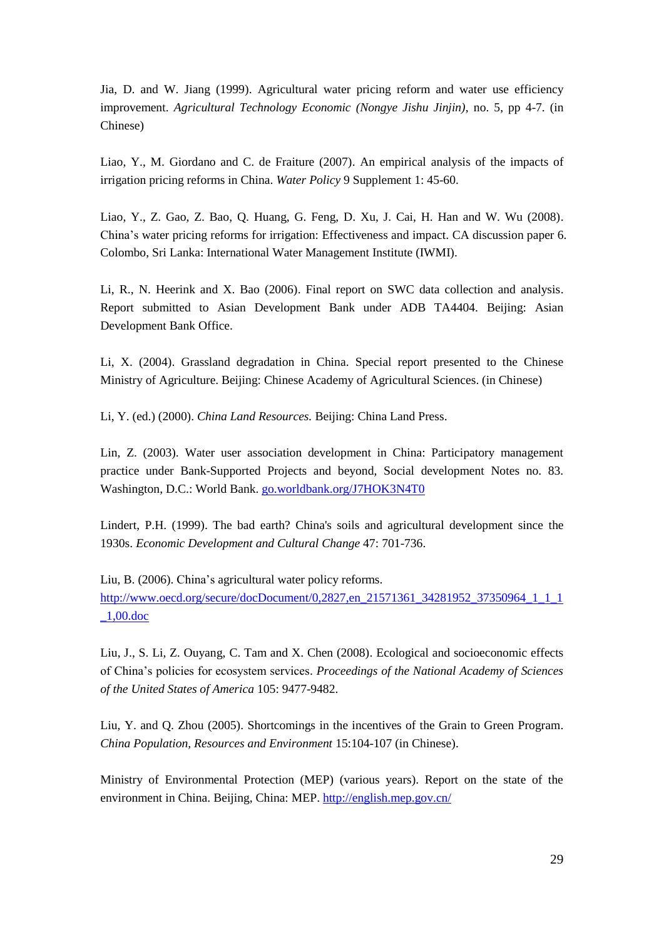Jia, D. and W. Jiang (1999). Agricultural water pricing reform and water use efficiency improvement. *Agricultural Technology Economic (Nongye Jishu Jinjin)*, no. 5, pp 4-7. (in Chinese)

Liao, Y., M. Giordano and C. de Fraiture (2007). An empirical analysis of the impacts of irrigation pricing reforms in China. *Water Policy* 9 Supplement 1: 45-60.

Liao, Y., Z. Gao, Z. Bao, Q. Huang, G. Feng, D. Xu, J. Cai, H. Han and W. Wu (2008). China's water pricing reforms for irrigation: Effectiveness and impact. CA discussion paper 6. Colombo, Sri Lanka: International Water Management Institute (IWMI).

Li, R., N. Heerink and X. Bao (2006). Final report on SWC data collection and analysis. Report submitted to Asian Development Bank under ADB TA4404. Beijing: Asian Development Bank Office.

Li, X. (2004). Grassland degradation in China. Special report presented to the Chinese Ministry of Agriculture. Beijing: Chinese Academy of Agricultural Sciences. (in Chinese)

Li, Y. (ed.) (2000). *China Land Resources.* Beijing: China Land Press.

Lin, Z. (2003). Water user association development in China: Participatory management practice under Bank-Supported Projects and beyond, Social development Notes no. 83. Washington, D.C.: World Bank. go.worldbank.org/J7HOK3N4T0

Lindert, P.H. (1999). The bad earth? China's soils and agricultural development since the 1930s. *Economic Development and Cultural Change* 47: 701-736.

Liu, B. (2006). China's agricultural water policy reforms. http://www.oecd.org/secure/docDocument/0,2827,en\_21571361\_34281952\_37350964\_1\_1\_1\_1 \_1,00.doc

Liu, J., S. Li, Z. Ouyang, C. Tam and X. Chen (2008). Ecological and socioeconomic effects of China's policies for ecosystem services. *Proceedings of the National Academy of Sciences of the United States of America* 105: 9477-9482.

Liu, Y. and Q. Zhou (2005). Shortcomings in the incentives of the Grain to Green Program. *China Population, Resources and Environment* 15:104-107 (in Chinese).

Ministry of Environmental Protection (MEP) (various years). Report on the state of the environment in China. Beijing, China: MEP.<http://english.mep.gov.cn/>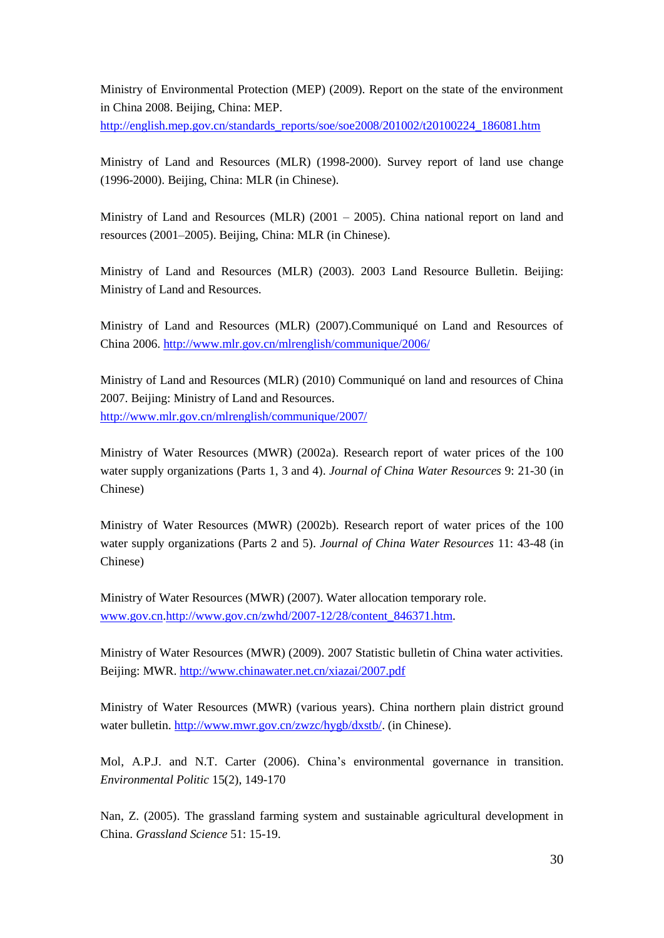Ministry of Environmental Protection (MEP) (2009). Report on the state of the environment in China 2008. Beijing, China: MEP.

[http://english.mep.gov.cn/standards\\_reports/soe/soe2008/201002/t20100224\\_186081.htm](http://english.mep.gov.cn/standards_reports/soe/soe2008/201002/t20100224_186081.htm)

Ministry of Land and Resources (MLR) (1998-2000). Survey report of land use change (1996-2000). Beijing, China: MLR (in Chinese).

Ministry of Land and Resources (MLR) (2001 – 2005). China national report on land and resources (2001–2005). Beijing, China: MLR (in Chinese).

Ministry of Land and Resources (MLR) (2003). 2003 Land Resource Bulletin. Beijing: Ministry of Land and Resources.

Ministry of Land and Resources (MLR) (2007).Communiqué on Land and Resources of China 2006.<http://www.mlr.gov.cn/mlrenglish/communique/2006/>

Ministry of Land and Resources (MLR) (2010) Communiqué on land and resources of China 2007. Beijing: Ministry of Land and Resources. http://www.mlr.gov.cn/mlrenglish/communique/2007/

Ministry of Water Resources (MWR) (2002a). Research report of water prices of the 100 water supply organizations (Parts 1, 3 and 4). *Journal of China Water Resources* 9: 21-30 (in Chinese)

Ministry of Water Resources (MWR) (2002b). Research report of water prices of the 100 water supply organizations (Parts 2 and 5). *Journal of China Water Resources* 11: 43-48 (in Chinese)

Ministry of Water Resources (MWR) (2007). Water allocation temporary role. [www.gov.cn](http://www.gov.cn/)[.http://www.gov.cn/zwhd/2007-12/28/content\\_846371.htm.](http://www.gov.cn/zwhd/2007-12/28/content_846371.htm)

Ministry of Water Resources (MWR) (2009). 2007 Statistic bulletin of China water activities. Beijing: MWR.<http://www.chinawater.net.cn/xiazai/2007.pdf>

Ministry of Water Resources (MWR) (various years). China northern plain district ground water bulletin. [http://www.mwr.gov.cn/zwzc/hygb/dxstb/.](http://www.mwr.gov.cn/zwzc/hygb/dxstb/) (in Chinese).

Mol, A.P.J. and N.T. Carter (2006). China's environmental governance in transition. *Environmental Politic* 15(2), 149-170

Nan, Z. (2005). The grassland farming system and sustainable agricultural development in China. *Grassland Science* 51: 15-19.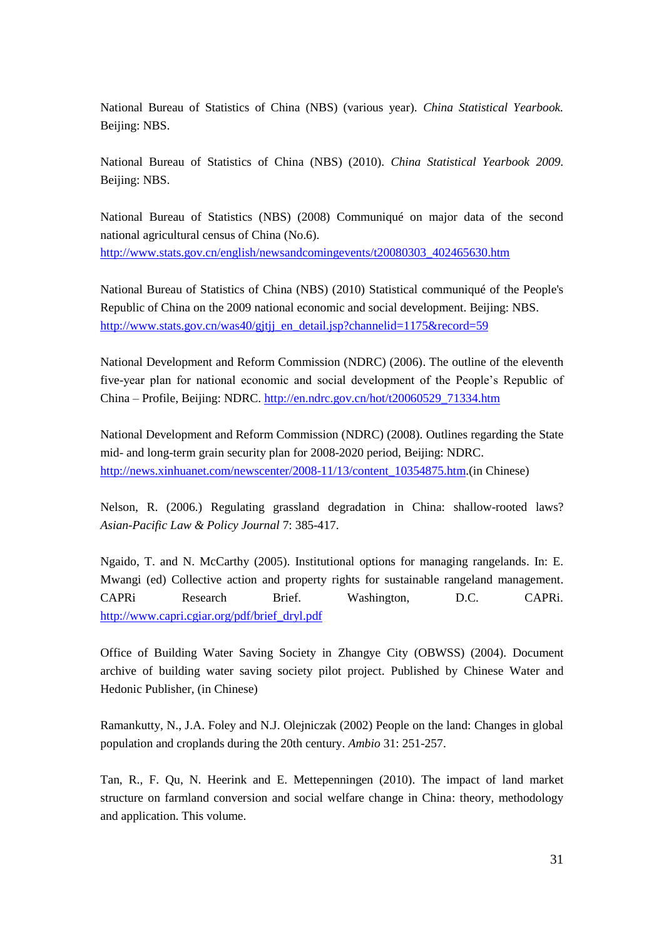National Bureau of Statistics of China (NBS) (various year). *China Statistical Yearbook.* Beijing: NBS.

National Bureau of Statistics of China (NBS) (2010). *China Statistical Yearbook 2009.* Beijing: NBS.

National Bureau of Statistics (NBS) (2008) Communiqué on major data of the second national agricultural census of China (No.6). [http://www.stats.gov.cn/english/newsandcomingevents/t20080303\\_402465630.htm](http://www.stats.gov.cn/english/newsandcomingevents/t20080303_402465630.htm)

National Bureau of Statistics of China (NBS) (2010) Statistical communiqué of the People's Republic of China on the 2009 national economic and social development. Beijing: NBS. [http://www.stats.gov.cn/was40/gjtjj\\_en\\_detail.jsp?channelid=1175&record=59](http://www.stats.gov.cn/was40/gjtjj_en_detail.jsp?channelid=1175&record=59)

National Development and Reform Commission (NDRC) (2006). The outline of the eleventh five-year plan for national economic and social development of the People's Republic of China – Profile, Beijing: NDRC. [http://en.ndrc.gov.cn/hot/t20060529\\_71334.htm](http://en.ndrc.gov.cn/hot/t20060529_71334.htm)

National Development and Reform Commission (NDRC) (2008). Outlines regarding the State mid- and long-term grain security plan for 2008-2020 period, Beijing: NDRC. [http://news.xinhuanet.com/newscenter/2008-11/13/content\\_10354875.htm.](http://news.xinhuanet.com/newscenter/2008-11/13/content_10354875.htm)(in Chinese)

Nelson, R. (2006.) Regulating grassland degradation in China: shallow-rooted laws? *Asian-Pacific Law & Policy Journal* 7: 385-417.

Ngaido, T. and N. McCarthy (2005). Institutional options for managing rangelands. In: E. Mwangi (ed) Collective action and property rights for sustainable rangeland management. CAPRi Research Brief. Washington, D.C. CAPRi. [http://www.capri.cgiar.org/pdf/brief\\_dryl.pdf](http://www.capri.cgiar.org/pdf/brief_dryl.pdf)

Office of Building Water Saving Society in Zhangye City (OBWSS) (2004). Document archive of building water saving society pilot project. Published by Chinese Water and Hedonic Publisher, (in Chinese)

Ramankutty, N., J.A. Foley and N.J. Olejniczak (2002) People on the land: Changes in global population and croplands during the 20th century. *Ambio* 31: 251-257.

Tan, R., F. Qu, N. Heerink and E. Mettepenningen (2010). The impact of land market structure on farmland conversion and social welfare change in China: theory, methodology and application. This volume.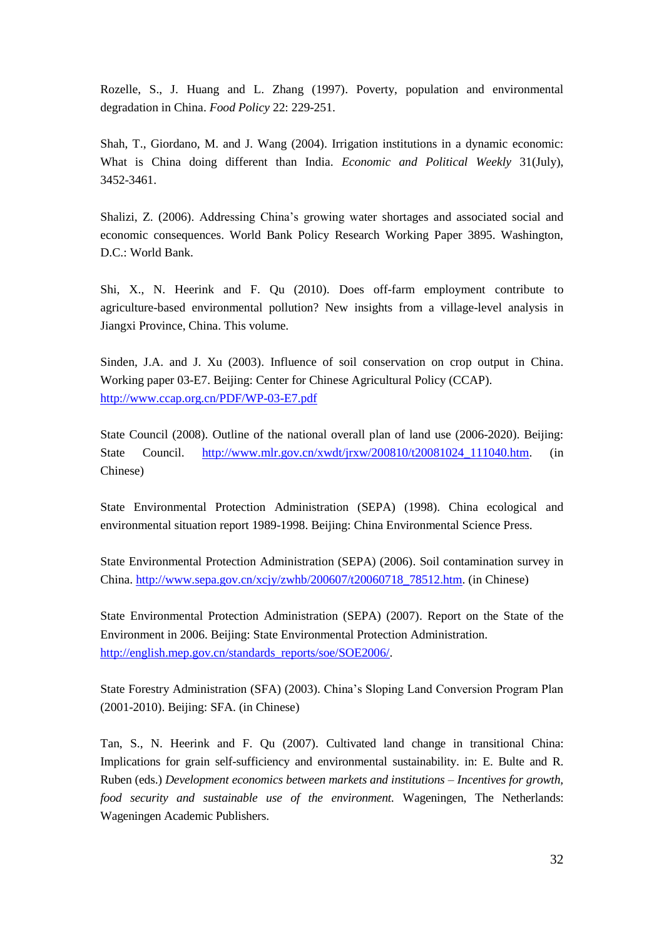Rozelle, S., J. Huang and L. Zhang (1997). Poverty, population and environmental degradation in China. *Food Policy* 22: 229-251.

Shah, T., Giordano, M. and J. Wang (2004). Irrigation institutions in a dynamic economic: What is China doing different than India. *Economic and Political Weekly* 31(July), 3452-3461.

Shalizi, Z. (2006). Addressing China's growing water shortages and associated social and economic consequences. World Bank Policy Research Working Paper 3895. Washington, D.C.: World Bank.

Shi, X., N. Heerink and F. Qu (2010). Does off-farm employment contribute to agriculture-based environmental pollution? New insights from a village-level analysis in Jiangxi Province, China. This volume.

Sinden, J.A. and J. Xu (2003). Influence of soil conservation on crop output in China. Working paper 03-E7. Beijing: Center for Chinese Agricultural Policy (CCAP). <http://www.ccap.org.cn/PDF/WP-03-E7.pdf>

State Council (2008). Outline of the national overall plan of land use (2006-2020). Beijing: State Council. http://www.mlr.gov.cn/xwdt/jrxw/200810/t20081024 111040.htm. (in Chinese)

State Environmental Protection Administration (SEPA) (1998). China ecological and environmental situation report 1989-1998. Beijing: China Environmental Science Press.

State Environmental Protection Administration (SEPA) (2006). Soil contamination survey in China. [http://www.sepa.gov.cn/xcjy/zwhb/200607/t20060718\\_78512.htm.](http://www.sepa.gov.cn/xcjy/zwhb/200607/t20060718_78512.htm) (in Chinese)

State Environmental Protection Administration (SEPA) (2007). Report on the State of the Environment in 2006. Beijing: State Environmental Protection Administration. [http://english.mep.gov.cn/standards\\_reports/soe/SOE2006/.](http://english.mep.gov.cn/standards_reports/soe/SOE2006/)

State Forestry Administration (SFA) (2003). China's Sloping Land Conversion Program Plan (2001-2010). Beijing: SFA. (in Chinese)

Tan, S., N. Heerink and F. Qu (2007). Cultivated land change in transitional China: Implications for grain self-sufficiency and environmental sustainability. in: E. Bulte and R. Ruben (eds.) *Development economics between markets and institutions – Incentives for growth, food security and sustainable use of the environment.* Wageningen, The Netherlands: Wageningen Academic Publishers.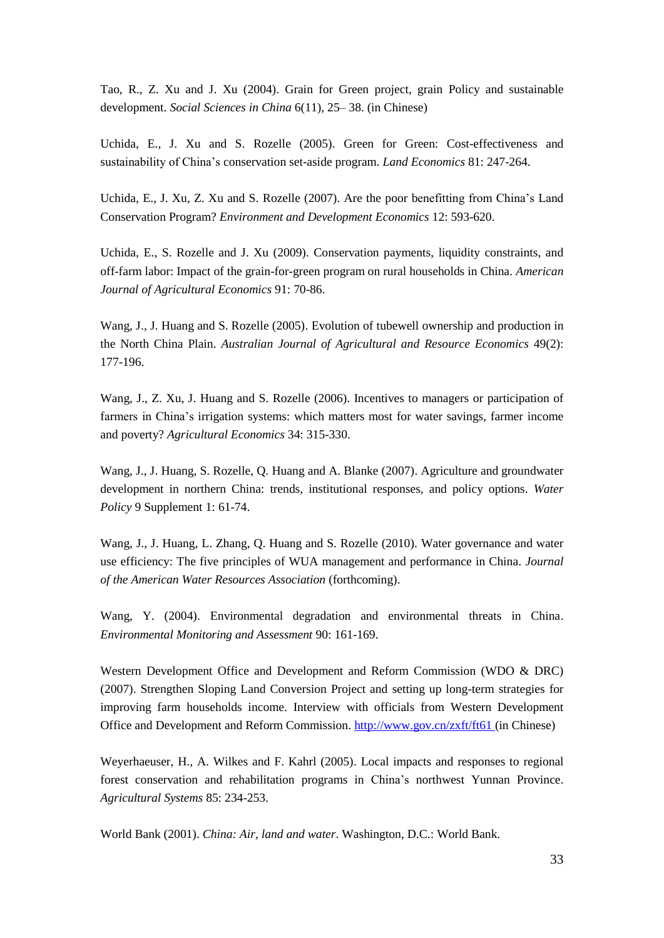Tao, R., Z. Xu and J. Xu (2004). Grain for Green project, grain Policy and sustainable development. *Social Sciences in China* 6(11), 25– 38. (in Chinese)

Uchida, E., J. Xu and S. Rozelle (2005). Green for Green: Cost-effectiveness and sustainability of China's conservation set-aside program. *Land Economics* 81: 247-264.

Uchida, E., J. Xu, Z. Xu and S. Rozelle (2007). Are the poor benefitting from China's Land Conservation Program? *Environment and Development Economics* 12: 593-620.

Uchida, E., S. Rozelle and J. Xu (2009). Conservation payments, liquidity constraints, and off-farm labor: Impact of the grain-for-green program on rural households in China. *American Journal of Agricultural Economics* 91: 70-86.

Wang, J., J. Huang and S. Rozelle (2005). Evolution of tubewell ownership and production in the North China Plain. *Australian Journal of Agricultural and Resource Economics* 49(2): 177-196.

Wang, J., Z. Xu, J. Huang and S. Rozelle (2006). Incentives to managers or participation of farmers in China's irrigation systems: which matters most for water savings, farmer income and poverty? *Agricultural Economics* 34: 315-330.

Wang, J., J. Huang, S. Rozelle, Q. Huang and A. Blanke (2007). Agriculture and groundwater development in northern China: trends, institutional responses, and policy options. *Water Policy* 9 Supplement 1: 61-74.

Wang, J., J. Huang, L. Zhang, Q. Huang and S. Rozelle (2010). Water governance and water use efficiency: The five principles of WUA management and performance in China. *Journal of the American Water Resources Association* (forthcoming).

Wang, Y. (2004). Environmental degradation and environmental threats in China. *Environmental Monitoring and Assessment* 90: 161-169.

Western Development Office and Development and Reform Commission (WDO & DRC) (2007). Strengthen Sloping Land Conversion Project and setting up long-term strategies for improving farm households income. Interview with officials from Western Development Office and Development and Reform Commission. [http://www.gov.cn/zxft/ft61](http://www.gov.cn/zxft/ft61/) (in Chinese)

Weyerhaeuser, H., A. Wilkes and F. Kahrl (2005). Local impacts and responses to regional forest conservation and rehabilitation programs in China's northwest Yunnan Province. *Agricultural Systems* 85: 234-253.

World Bank (2001). *China: Air, land and water*. Washington, D.C.: World Bank.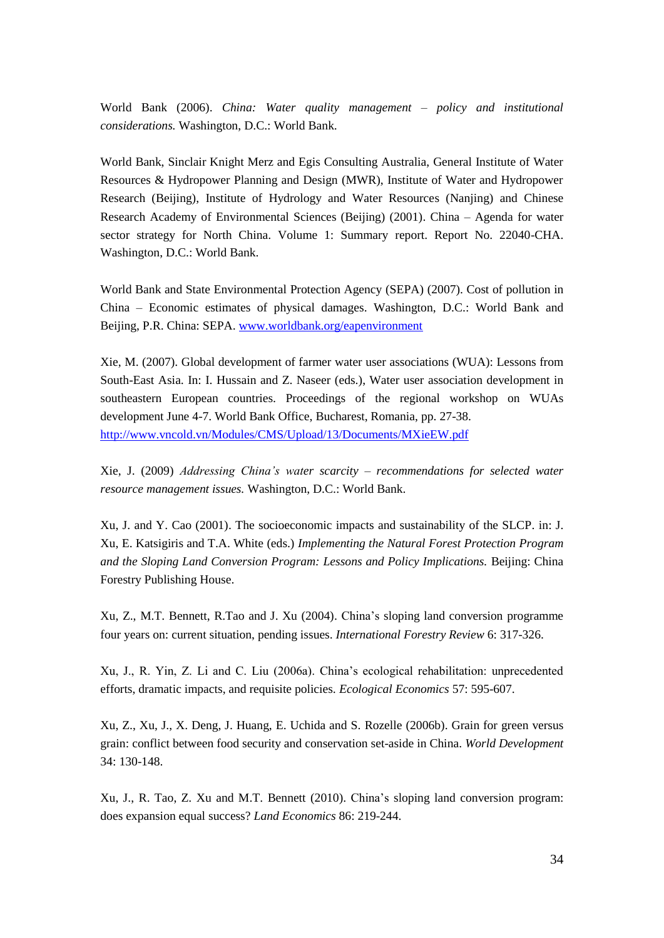World Bank (2006). *China: Water quality management – policy and institutional considerations.* Washington, D.C.: World Bank.

World Bank, Sinclair Knight Merz and Egis Consulting Australia, General Institute of Water Resources & Hydropower Planning and Design (MWR), Institute of Water and Hydropower Research (Beijing), Institute of Hydrology and Water Resources (Nanjing) and Chinese Research Academy of Environmental Sciences (Beijing) (2001). China – Agenda for water sector strategy for North China. Volume 1: Summary report. Report No. 22040-CHA. Washington, D.C.: World Bank.

World Bank and State Environmental Protection Agency (SEPA) (2007). Cost of pollution in China – Economic estimates of physical damages. Washington, D.C.: World Bank and Beijing, P.R. China: SEPA. [www.worldbank.org/eapenvironment](http://www.worldbank.org/eapenvironment)

Xie, M. (2007). Global development of farmer water user associations (WUA): Lessons from South-East Asia. In: I. Hussain and Z. Naseer (eds.), Water user association development in southeastern European countries. Proceedings of the regional workshop on WUAs development June 4-7. World Bank Office, Bucharest, Romania, pp. 27-38. <http://www.vncold.vn/Modules/CMS/Upload/13/Documents/MXieEW.pdf>

Xie, J. (2009) *Addressing China's water scarcity – recommendations for selected water resource management issues.* Washington, D.C.: World Bank.

Xu, J. and Y. Cao (2001). The socioeconomic impacts and sustainability of the SLCP. in: J. Xu, E. Katsigiris and T.A. White (eds.) *Implementing the Natural Forest Protection Program and the Sloping Land Conversion Program: Lessons and Policy Implications.* Beijing: China Forestry Publishing House.

Xu, Z., M.T. Bennett, R.Tao and J. Xu (2004). China's sloping land conversion programme four years on: current situation, pending issues. *International Forestry Review* 6: 317-326.

Xu, J., R. Yin, Z. Li and C. Liu (2006a). China's ecological rehabilitation: unprecedented efforts, dramatic impacts, and requisite policies. *Ecological Economics* 57: 595-607.

Xu, Z., Xu, J., X. Deng, J. Huang, E. Uchida and S. Rozelle (2006b). Grain for green versus grain: conflict between food security and conservation set-aside in China. *World Development* 34: 130-148.

Xu, J., R. Tao, Z. Xu and M.T. Bennett (2010). China's sloping land conversion program: does expansion equal success? *Land Economics* 86: 219-244.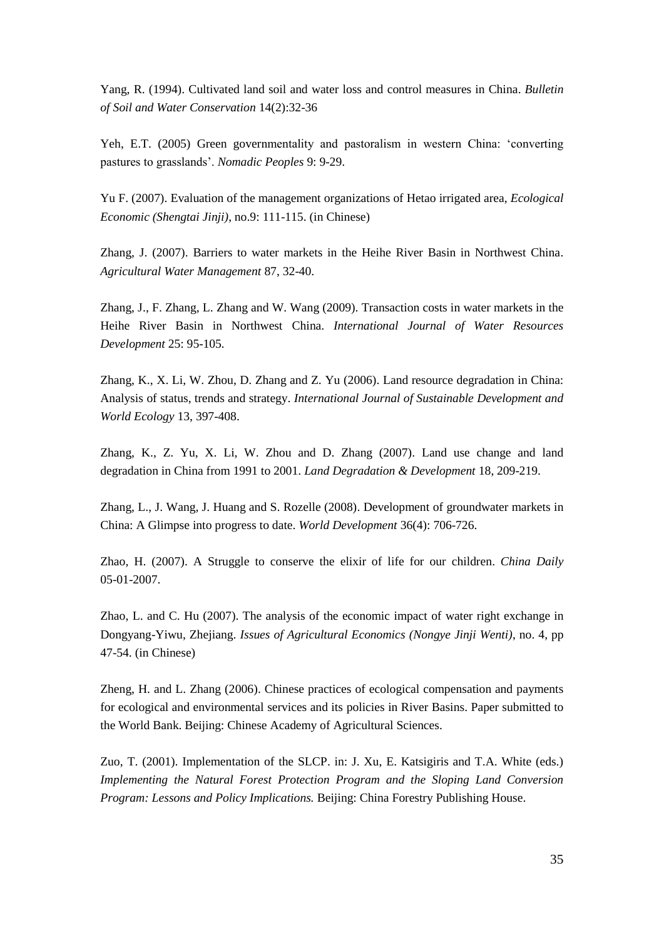Yang, R. (1994). Cultivated land soil and water loss and control measures in China. *Bulletin of Soil and Water Conservation* 14(2):32-36

Yeh, E.T. (2005) Green governmentality and pastoralism in western China: 'converting pastures to grasslands'. *Nomadic Peoples* 9: 9-29.

Yu F. (2007). Evaluation of the management organizations of Hetao irrigated area, *Ecological Economic (Shengtai Jinji)*, no.9: 111-115. (in Chinese)

Zhang, J. (2007). Barriers to water markets in the Heihe River Basin in Northwest China. *Agricultural Water Management* 87, 32-40.

Zhang, J., F. Zhang, L. Zhang and W. Wang (2009). Transaction costs in water markets in the Heihe River Basin in Northwest China. *International Journal of Water Resources Development* 25: 95-105*.*

Zhang, K., X. Li, W. Zhou, D. Zhang and Z. Yu (2006). Land resource degradation in China: Analysis of status, trends and strategy. *International Journal of Sustainable Development and World Ecology* 13, 397-408.

Zhang, K., Z. Yu, X. Li, W. Zhou and D. Zhang (2007). Land use change and land degradation in China from 1991 to 2001. *Land Degradation & Development* 18, 209-219.

Zhang, L., J. Wang, J. Huang and S. Rozelle (2008). Development of groundwater markets in China: A Glimpse into progress to date. *World Development* 36(4): 706-726.

Zhao, H. (2007). A Struggle to conserve the elixir of life for our children. *China Daily*  05-01-2007.

Zhao, L. and C. Hu (2007). The analysis of the economic impact of water right exchange in Dongyang-Yiwu, Zhejiang. *Issues of Agricultural Economics (Nongye Jinji Wenti)*, no. 4, pp 47-54. (in Chinese)

Zheng, H. and L. Zhang (2006). Chinese practices of ecological compensation and payments for ecological and environmental services and its policies in River Basins. Paper submitted to the World Bank. Beijing: Chinese Academy of Agricultural Sciences.

Zuo, T. (2001). Implementation of the SLCP. in: J. Xu, E. Katsigiris and T.A. White (eds.) *Implementing the Natural Forest Protection Program and the Sloping Land Conversion Program: Lessons and Policy Implications.* Beijing: China Forestry Publishing House.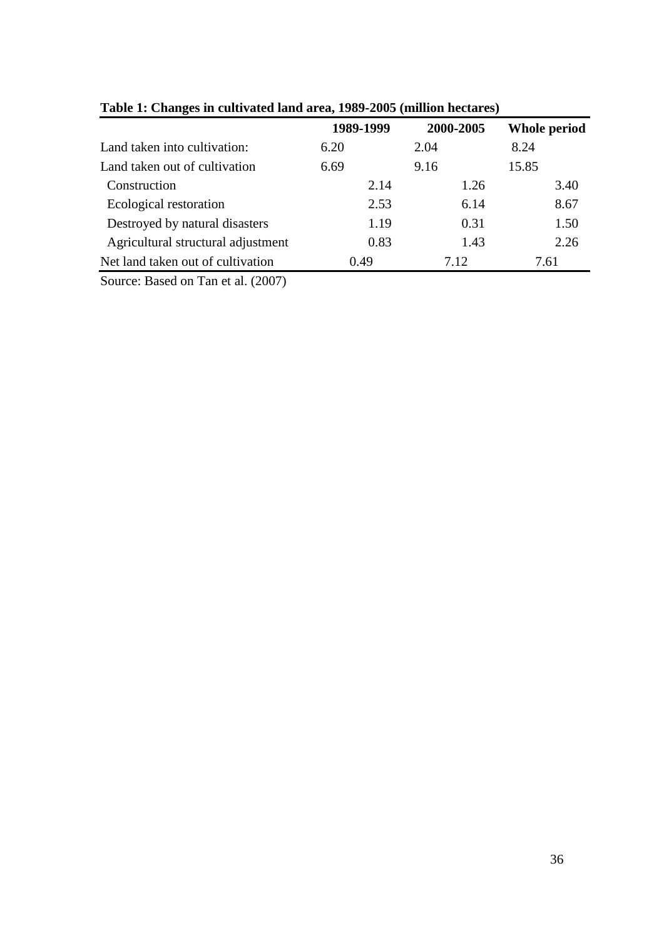|                                    | 1989-1999 | 2000-2005 | <b>Whole period</b> |  |
|------------------------------------|-----------|-----------|---------------------|--|
| Land taken into cultivation:       | 6.20      | 2.04      | 8.24                |  |
| Land taken out of cultivation      | 6.69      | 9.16      | 15.85               |  |
| Construction                       | 2.14      | 1.26      | 3.40                |  |
| Ecological restoration             | 2.53      | 6.14      | 8.67                |  |
| Destroyed by natural disasters     | 1.19      | 0.31      | 1.50                |  |
| Agricultural structural adjustment | 0.83      | 1.43      | 2.26                |  |
| Net land taken out of cultivation  | 0.49      | 7.12      | 7.61                |  |

# **Table 1: Changes in cultivated land area, 1989-2005 (million hectares)**

Source: Based on Tan et al. (2007)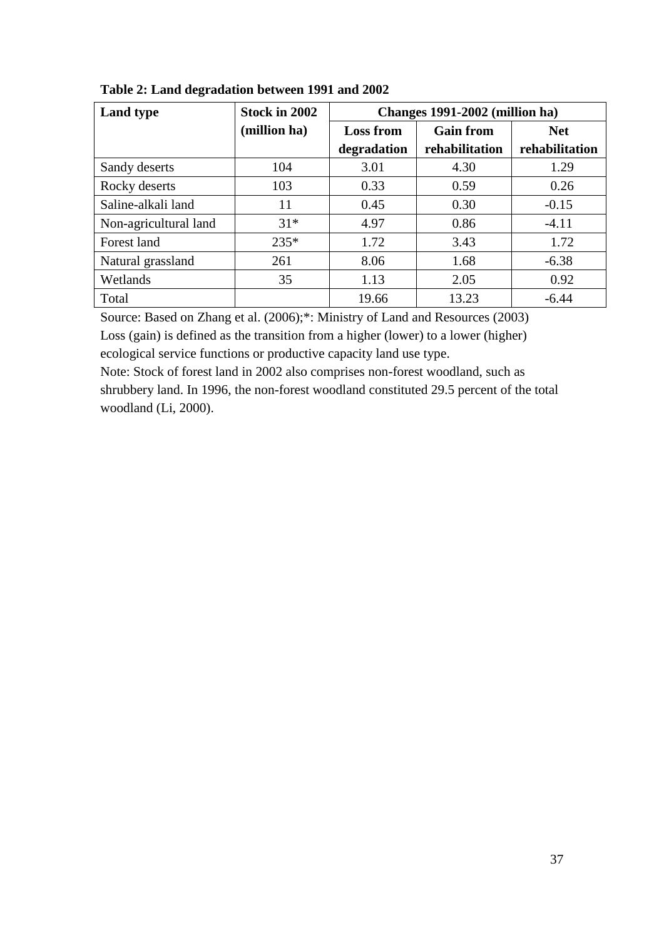| <b>Land type</b>      | Stock in 2002 | Changes 1991-2002 (million ha)       |                |                |  |  |
|-----------------------|---------------|--------------------------------------|----------------|----------------|--|--|
|                       | (million ha)  | <b>Gain from</b><br><b>Loss from</b> |                | <b>Net</b>     |  |  |
|                       |               | degradation                          | rehabilitation | rehabilitation |  |  |
| Sandy deserts         | 104           | 3.01                                 | 4.30           | 1.29           |  |  |
| Rocky deserts         | 103           | 0.33                                 | 0.59           | 0.26           |  |  |
| Saline-alkali land    | 11            | 0.45                                 | 0.30           | $-0.15$        |  |  |
| Non-agricultural land | $31*$         | 4.97                                 | 0.86           | $-4.11$        |  |  |
| Forest land           | $235*$        | 1.72                                 | 3.43           | 1.72           |  |  |
| Natural grassland     | 261           | 8.06                                 | 1.68           | $-6.38$        |  |  |
| Wetlands              | 35            | 1.13                                 | 2.05           | 0.92           |  |  |
| Total                 |               | 19.66                                | 13.23          | $-6.44$        |  |  |

**Table 2: Land degradation between 1991 and 2002**

Source: Based on Zhang et al. (2006);\*: Ministry of Land and Resources (2003) Loss (gain) is defined as the transition from a higher (lower) to a lower (higher) ecological service functions or productive capacity land use type.

Note: Stock of forest land in 2002 also comprises non-forest woodland, such as shrubbery land. In 1996, the non-forest woodland constituted 29.5 percent of the total woodland (Li, 2000).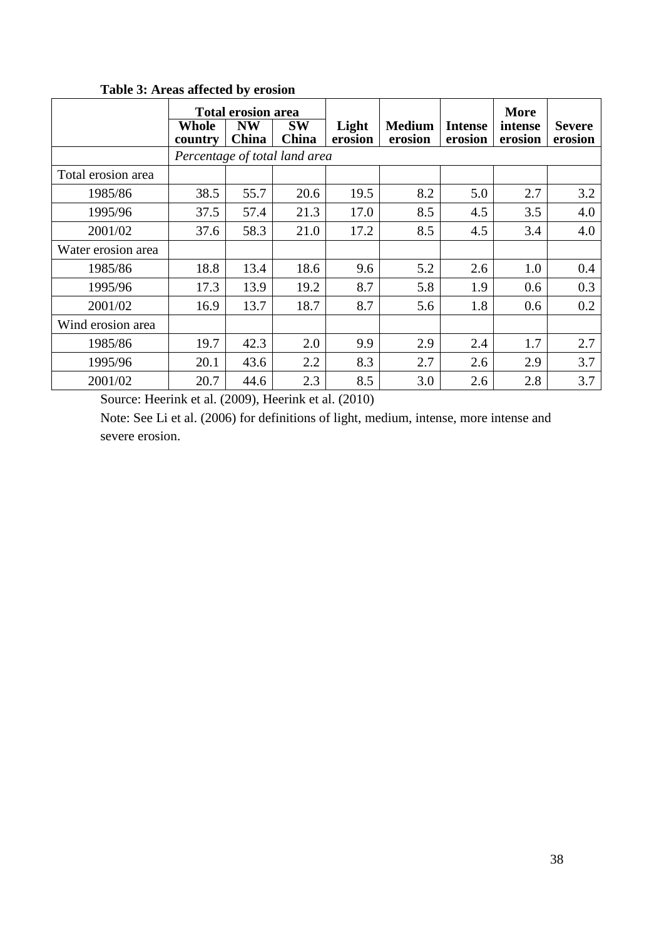|                    | <b>Total erosion area</b> |                    |                               |                  |                          | <b>More</b>               |                    |                          |
|--------------------|---------------------------|--------------------|-------------------------------|------------------|--------------------------|---------------------------|--------------------|--------------------------|
|                    | Whole<br>country          | <b>NW</b><br>China | <b>SW</b><br>China            | Light<br>erosion | <b>Medium</b><br>erosion | <b>Intense</b><br>erosion | intense<br>erosion | <b>Severe</b><br>erosion |
|                    |                           |                    | Percentage of total land area |                  |                          |                           |                    |                          |
| Total erosion area |                           |                    |                               |                  |                          |                           |                    |                          |
| 1985/86            | 38.5                      | 55.7               | 20.6                          | 19.5             | 8.2                      | 5.0                       | 2.7                | 3.2                      |
| 1995/96            | 37.5                      | 57.4               | 21.3                          | 17.0             | 8.5                      | 4.5                       | 3.5                | 4.0                      |
| 2001/02            | 37.6                      | 58.3               | 21.0                          | 17.2             | 8.5                      | 4.5                       | 3.4                | 4.0                      |
| Water erosion area |                           |                    |                               |                  |                          |                           |                    |                          |
| 1985/86            | 18.8                      | 13.4               | 18.6                          | 9.6              | 5.2                      | 2.6                       | 1.0                | 0.4                      |
| 1995/96            | 17.3                      | 13.9               | 19.2                          | 8.7              | 5.8                      | 1.9                       | 0.6                | 0.3                      |
| 2001/02            | 16.9                      | 13.7               | 18.7                          | 8.7              | 5.6                      | 1.8                       | 0.6                | 0.2                      |
| Wind erosion area  |                           |                    |                               |                  |                          |                           |                    |                          |
| 1985/86            | 19.7                      | 42.3               | 2.0                           | 9.9              | 2.9                      | 2.4                       | 1.7                | 2.7                      |
| 1995/96            | 20.1                      | 43.6               | 2.2                           | 8.3              | 2.7                      | 2.6                       | 2.9                | 3.7                      |
| 2001/02            | 20.7                      | 44.6               | 2.3                           | 8.5              | 3.0                      | 2.6                       | 2.8                | 3.7                      |

**Table 3: Areas affected by erosion** 

Source: Heerink et al. (2009), Heerink et al. (2010)

Note: See Li et al. (2006) for definitions of light, medium, intense, more intense and severe erosion.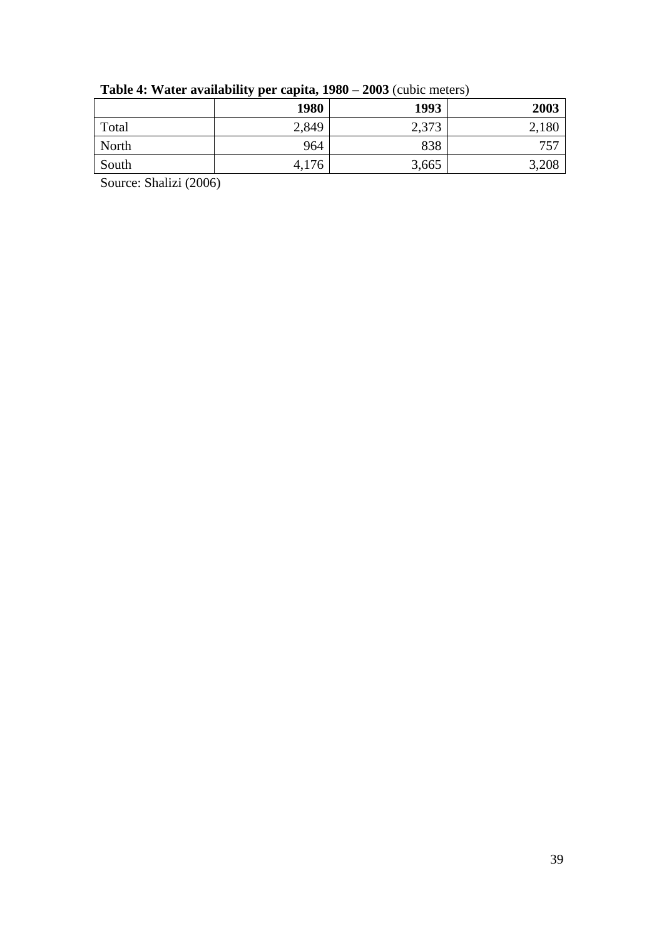|       | 1980  | 1993  | 2003  |
|-------|-------|-------|-------|
| Total | 2,849 | 2,373 | 2,180 |
| North | 964   | 838   | 757   |
| South | 4,176 | 3,665 | 3,208 |

# **Table 4: Water availability per capita, 1980 – 2003** (cubic meters)

Source: Shalizi (2006)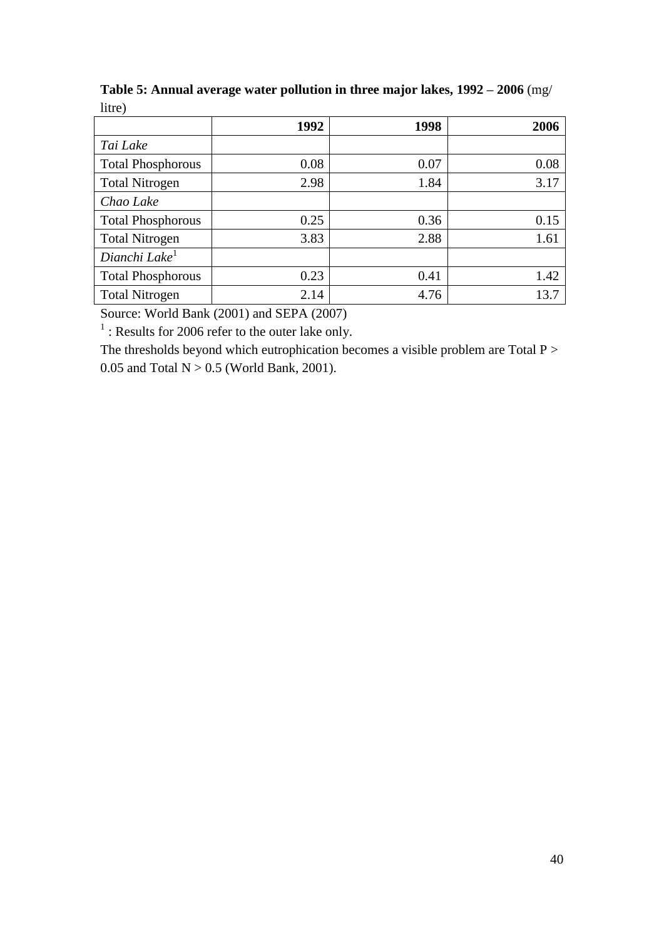|                           | 1992 | 1998 | 2006 |
|---------------------------|------|------|------|
| Tai Lake                  |      |      |      |
| <b>Total Phosphorous</b>  | 0.08 | 0.07 | 0.08 |
| <b>Total Nitrogen</b>     | 2.98 | 1.84 | 3.17 |
| Chao Lake                 |      |      |      |
| <b>Total Phosphorous</b>  | 0.25 | 0.36 | 0.15 |
| <b>Total Nitrogen</b>     | 3.83 | 2.88 | 1.61 |
| Dianchi Lake <sup>1</sup> |      |      |      |
| <b>Total Phosphorous</b>  | 0.23 | 0.41 | 1.42 |
| <b>Total Nitrogen</b>     | 2.14 | 4.76 | 13.7 |

**Table 5: Annual average water pollution in three major lakes, 1992 – 2006** (mg/ litre)

Source: World Bank (2001) and SEPA (2007)

 $1$ : Results for 2006 refer to the outer lake only.

The thresholds beyond which eutrophication becomes a visible problem are Total P > 0.05 and Total  $N > 0.5$  (World Bank, 2001).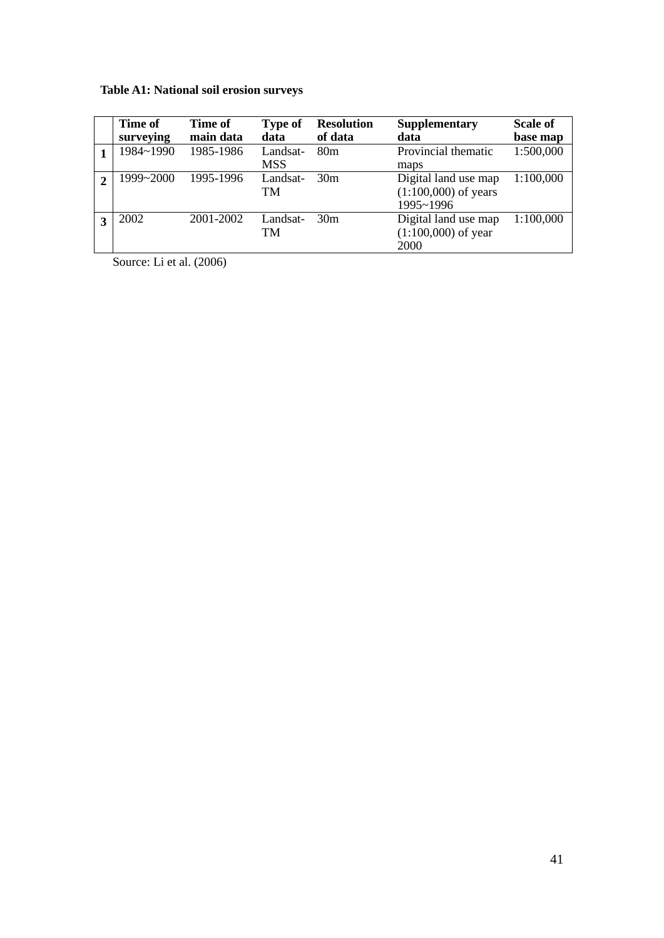## **Table A1: National soil erosion surveys**

| Time of<br>surveying | Time of<br>main data | <b>Type of</b><br>data | <b>Resolution</b><br>of data | <b>Supplementary</b><br>data                                | <b>Scale of</b><br>base map |
|----------------------|----------------------|------------------------|------------------------------|-------------------------------------------------------------|-----------------------------|
| 1984~1990            | 1985-1986            | Landsat-<br><b>MSS</b> | 80 <sub>m</sub>              | Provincial thematic<br>maps                                 | 1:500,000                   |
| 1999~2000            | 1995-1996            | Landsat-<br>TM         | 30 <sub>m</sub>              | Digital land use map<br>$(1:100,000)$ of years<br>1995~1996 | 1:100,000                   |
| 2002                 | 2001-2002            | Landsat-<br>TM         | 30 <sub>m</sub>              | Digital land use map<br>$(1:100,000)$ of year<br>2000       | 1:100,000                   |

Source: Li et al. (2006)